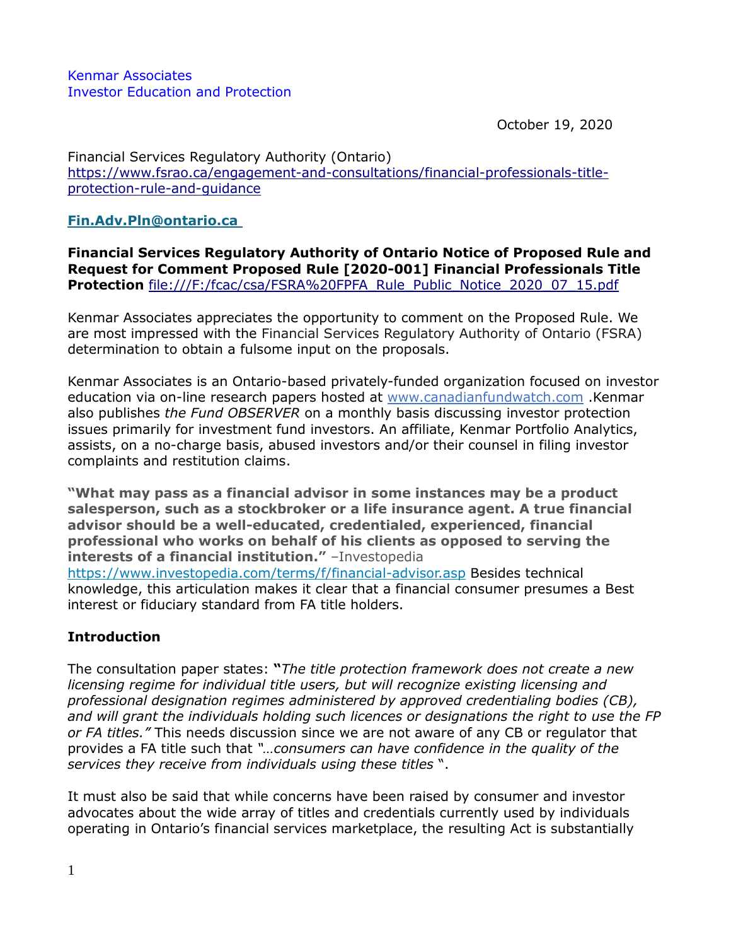October 19, 2020

Financial Services Regulatory Authority (Ontario) [https://www.fsrao.ca/engagement-and-consultations/financial-professionals-title](https://www.fsrao.ca/engagement-and-consultations/financial-professionals-title-protection-rule-and-guidance)[protection-rule-and-guidance](https://www.fsrao.ca/engagement-and-consultations/financial-professionals-title-protection-rule-and-guidance)

# **[Fin.Adv.Pln@ontario.ca](mailto:Fin.Adv.Pln@ontario.ca)**

**Financial Services Regulatory Authority of Ontario Notice of Proposed Rule and Request for Comment Proposed Rule [2020-001] Financial Professionals Title Protection** [file:///F:/fcac/csa/FSRA%20FPFA\\_Rule\\_Public\\_Notice\\_2020\\_07\\_15.pdf](file:///F:/fcac/csa/FSRA%20FPFA_Rule_Public_Notice_2020_07_15.pdf)

Kenmar Associates appreciates the opportunity to comment on the Proposed Rule. We are most impressed with the Financial Services Regulatory Authority of Ontario (FSRA) determination to obtain a fulsome input on the proposals.

Kenmar Associates is an Ontario-based privately-funded organization focused on investor education via on-line research papers hosted at [www.canadianfundwatch.com](http://www.canadianfundwatch.com/) .Kenmar also publishes *the Fund OBSERVER* on a monthly basis discussing investor protection issues primarily for investment fund investors. An affiliate, Kenmar Portfolio Analytics, assists, on a no-charge basis, abused investors and/or their counsel in filing investor complaints and restitution claims.

**"What may pass as a financial advisor in some instances may be a product salesperson, such as a stockbroker or a life insurance agent. A true financial advisor should be a well-educated, credentialed, experienced, financial professional who works on behalf of his clients as opposed to serving the interests of a financial institution."** –Investopedia <https://www.investopedia.com/terms/f/financial-advisor.asp> Besides technical knowledge, this articulation makes it clear that a financial consumer presumes a Best interest or fiduciary standard from FA title holders.

# **Introduction**

The consultation paper states: **"***The title protection framework does not create a new licensing regime for individual title users, but will recognize existing licensing and professional designation regimes administered by approved credentialing bodies (CB), and will grant the individuals holding such licences or designations the right to use the FP or FA titles."* This needs discussion since we are not aware of any CB or regulator that provides a FA title such that *"…consumers can have confidence in the quality of the services they receive from individuals using these titles* ".

It must also be said that while concerns have been raised by consumer and investor advocates about the wide array of titles and credentials currently used by individuals operating in Ontario's financial services marketplace, the resulting Act is substantially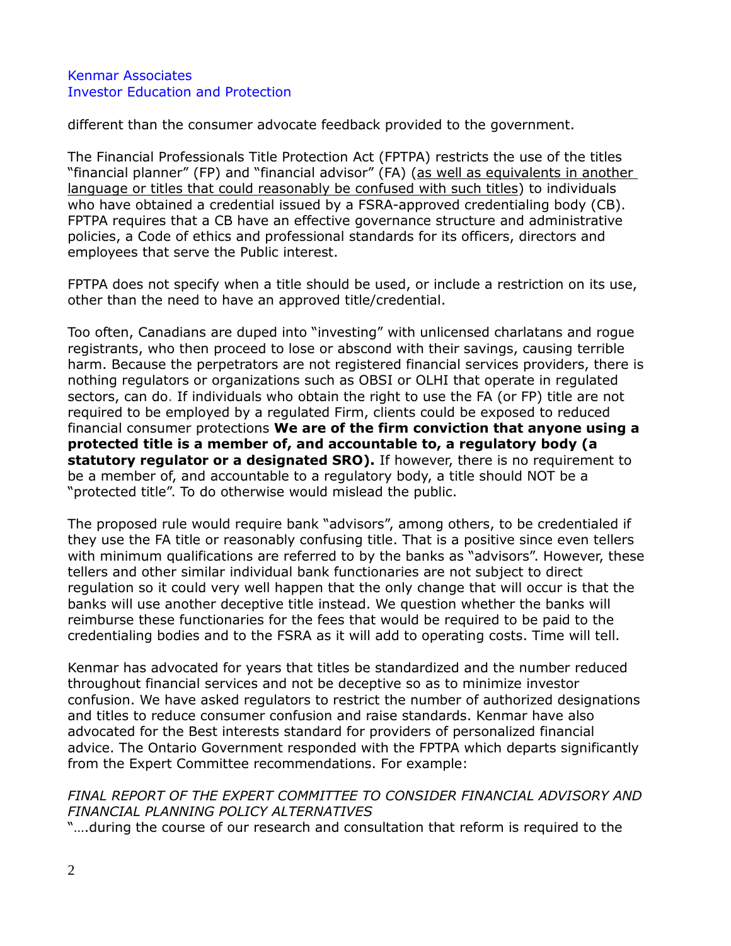different than the consumer advocate feedback provided to the government.

The Financial Professionals Title Protection Act (FPTPA) restricts the use of the titles "financial planner" (FP) and "financial advisor" (FA) (as well as equivalents in another language or titles that could reasonably be confused with such titles) to individuals who have obtained a credential issued by a FSRA-approved credentialing body (CB). FPTPA requires that a CB have an effective governance structure and administrative policies, a Code of ethics and professional standards for its officers, directors and employees that serve the Public interest.

FPTPA does not specify when a title should be used, or include a restriction on its use, other than the need to have an approved title/credential.

Too often, Canadians are duped into "investing" with unlicensed charlatans and rogue registrants, who then proceed to lose or abscond with their savings, causing terrible harm. Because the perpetrators are not registered financial services providers, there is nothing regulators or organizations such as OBSI or OLHI that operate in regulated sectors, can do. If individuals who obtain the right to use the FA (or FP) title are not required to be employed by a regulated Firm, clients could be exposed to reduced financial consumer protections **We are of the firm conviction that anyone using a protected title is a member of, and accountable to, a regulatory body (a statutory regulator or a designated SRO).** If however, there is no requirement to be a member of, and accountable to a regulatory body, a title should NOT be a "protected title". To do otherwise would mislead the public.

The proposed rule would require bank "advisors", among others, to be credentialed if they use the FA title or reasonably confusing title. That is a positive since even tellers with minimum qualifications are referred to by the banks as "advisors". However, these tellers and other similar individual bank functionaries are not subject to direct regulation so it could very well happen that the only change that will occur is that the banks will use another deceptive title instead. We question whether the banks will reimburse these functionaries for the fees that would be required to be paid to the credentialing bodies and to the FSRA as it will add to operating costs. Time will tell.

Kenmar has advocated for years that titles be standardized and the number reduced throughout financial services and not be deceptive so as to minimize investor confusion. We have asked regulators to restrict the number of authorized designations and titles to reduce consumer confusion and raise standards. Kenmar have also advocated for the Best interests standard for providers of personalized financial advice. The Ontario Government responded with the FPTPA which departs significantly from the Expert Committee recommendations. For example:

# *FINAL REPORT OF THE EXPERT COMMITTEE TO CONSIDER FINANCIAL ADVISORY AND FINANCIAL PLANNING POLICY ALTERNATIVES*

"….during the course of our research and consultation that reform is required to the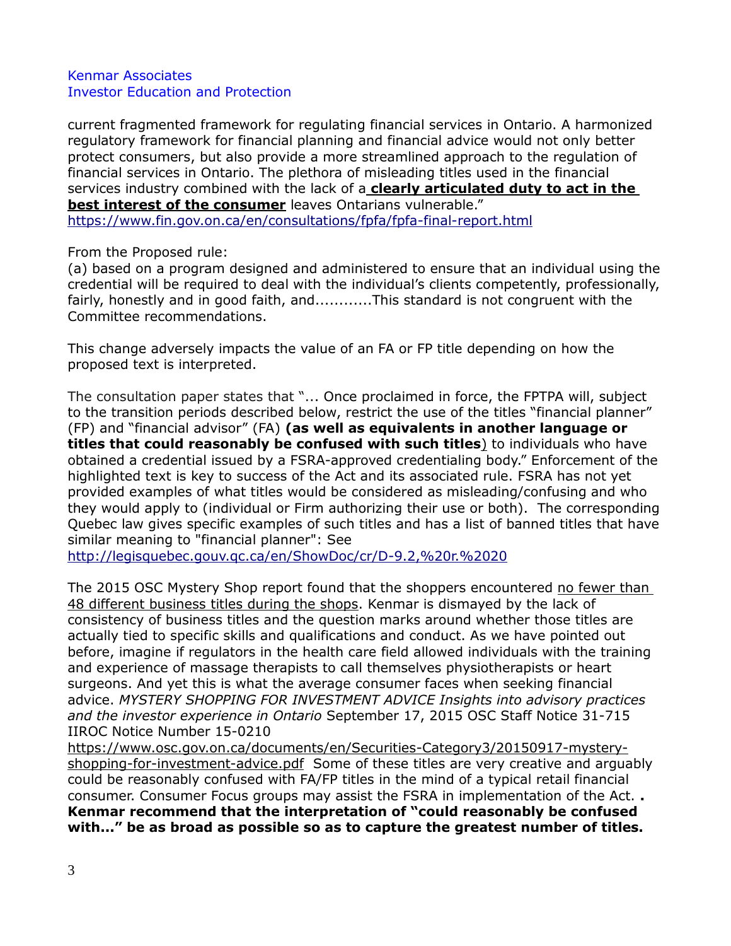current fragmented framework for regulating financial services in Ontario. A harmonized regulatory framework for financial planning and financial advice would not only better protect consumers, but also provide a more streamlined approach to the regulation of financial services in Ontario. The plethora of misleading titles used in the financial services industry combined with the lack of a **clearly articulated duty to act in the best interest of the consumer** leaves Ontarians vulnerable." <https://www.fin.gov.on.ca/en/consultations/fpfa/fpfa-final-report.html>

## From the Proposed rule:

(a) based on a program designed and administered to ensure that an individual using the credential will be required to deal with the individual's clients competently, professionally, fairly, honestly and in good faith, and............This standard is not congruent with the Committee recommendations.

This change adversely impacts the value of an FA or FP title depending on how the proposed text is interpreted.

The consultation paper states that "... Once proclaimed in force, the FPTPA will, subject to the transition periods described below, restrict the use of the titles "financial planner" (FP) and "financial advisor" (FA) **(as well as equivalents in another language or titles that could reasonably be confused with such titles**) to individuals who have obtained a credential issued by a FSRA-approved credentialing body." Enforcement of the highlighted text is key to success of the Act and its associated rule. FSRA has not yet provided examples of what titles would be considered as misleading/confusing and who they would apply to (individual or Firm authorizing their use or both). The corresponding Quebec law gives specific examples of such titles and has a list of banned titles that have similar meaning to "financial planner": See

<http://legisquebec.gouv.qc.ca/en/ShowDoc/cr/D-9.2,%20r.%2020>

The 2015 OSC Mystery Shop report found that the shoppers encountered no fewer than 48 different business titles during the shops. Kenmar is dismayed by the lack of consistency of business titles and the question marks around whether those titles are actually tied to specific skills and qualifications and conduct. As we have pointed out before, imagine if regulators in the health care field allowed individuals with the training and experience of massage therapists to call themselves physiotherapists or heart surgeons. And yet this is what the average consumer faces when seeking financial advice. *MYSTERY SHOPPING FOR INVESTMENT ADVICE Insights into advisory practices and the investor experience in Ontario* September 17, 2015 OSC Staff Notice 31-715 IIROC Notice Number 15-0210

[https://www.osc.gov.on.ca/documents/en/Securities-Category3/20150917-mystery](https://www.osc.gov.on.ca/documents/en/Securities-Category3/20150917-mystery-shopping-for-investment-advice.pdf)[shopping-for-investment-advice.pdf](https://www.osc.gov.on.ca/documents/en/Securities-Category3/20150917-mystery-shopping-for-investment-advice.pdf) Some of these titles are very creative and arguably could be reasonably confused with FA/FP titles in the mind of a typical retail financial consumer. Consumer Focus groups may assist the FSRA in implementation of the Act. **. Kenmar recommend that the interpretation of "could reasonably be confused with..." be as broad as possible so as to capture the greatest number of titles.**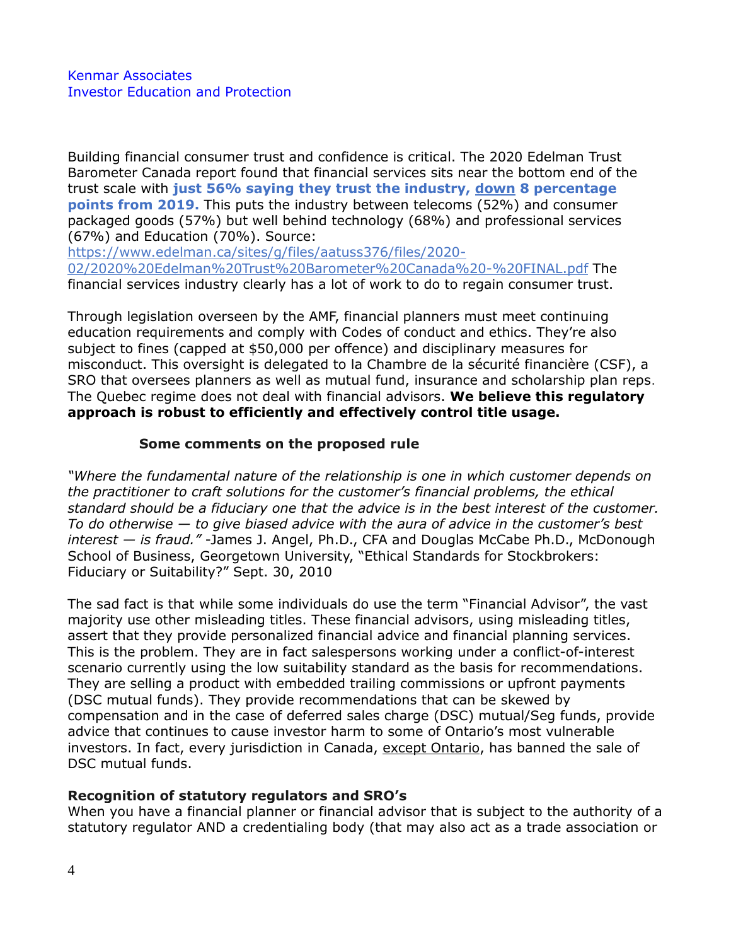Building financial consumer trust and confidence is critical. The 2020 Edelman Trust Barometer Canada report found that financial services sits near the bottom end of the trust scale with **just 56% saying they trust the industry, down 8 percentage points from 2019.** This puts the industry between telecoms (52%) and consumer packaged goods (57%) but well behind technology (68%) and professional services (67%) and Education (70%). Source:

[https://www.edelman.ca/sites/g/files/aatuss376/files/2020-](https://www.edelman.ca/sites/g/files/aatuss376/files/2020-02/2020%20Edelman%20Trust%20Barometer%20Canada%20-%20FINAL.pdf) [02/2020%20Edelman%20Trust%20Barometer%20Canada%20-%20FINAL.pdf](https://www.edelman.ca/sites/g/files/aatuss376/files/2020-02/2020%20Edelman%20Trust%20Barometer%20Canada%20-%20FINAL.pdf) The financial services industry clearly has a lot of work to do to regain consumer trust.

Through legislation overseen by the AMF, financial planners must meet continuing education requirements and comply with Codes of conduct and ethics. They're also subject to fines (capped at \$50,000 per offence) and disciplinary measures for misconduct. This oversight is delegated to la Chambre de la sécurité financière (CSF), a SRO that oversees planners as well as mutual fund, insurance and scholarship plan reps. The Quebec regime does not deal with financial advisors. **We believe this regulatory approach is robust to efficiently and effectively control title usage.** 

# **Some comments on the proposed rule**

*"Where the fundamental nature of the relationship is one in which customer depends on the practitioner to craft solutions for the customer's financial problems, the ethical standard should be a fiduciary one that the advice is in the best interest of the customer. To do otherwise — to give biased advice with the aura of advice in the customer's best interest — is fraud."* -James J. Angel, Ph.D., CFA and Douglas McCabe Ph.D., McDonough School of Business, Georgetown University, "Ethical Standards for Stockbrokers: Fiduciary or Suitability?" Sept. 30, 2010

The sad fact is that while some individuals do use the term "Financial Advisor", the vast majority use other misleading titles. These financial advisors, using misleading titles, assert that they provide personalized financial advice and financial planning services. This is the problem. They are in fact salespersons working under a conflict-of-interest scenario currently using the low suitability standard as the basis for recommendations. They are selling a product with embedded trailing commissions or upfront payments (DSC mutual funds). They provide recommendations that can be skewed by compensation and in the case of deferred sales charge (DSC) mutual/Seg funds, provide advice that continues to cause investor harm to some of Ontario's most vulnerable investors. In fact, every jurisdiction in Canada, except Ontario, has banned the sale of DSC mutual funds.

# **Recognition of statutory regulators and SRO's**

When you have a financial planner or financial advisor that is subject to the authority of a statutory regulator AND a credentialing body (that may also act as a trade association or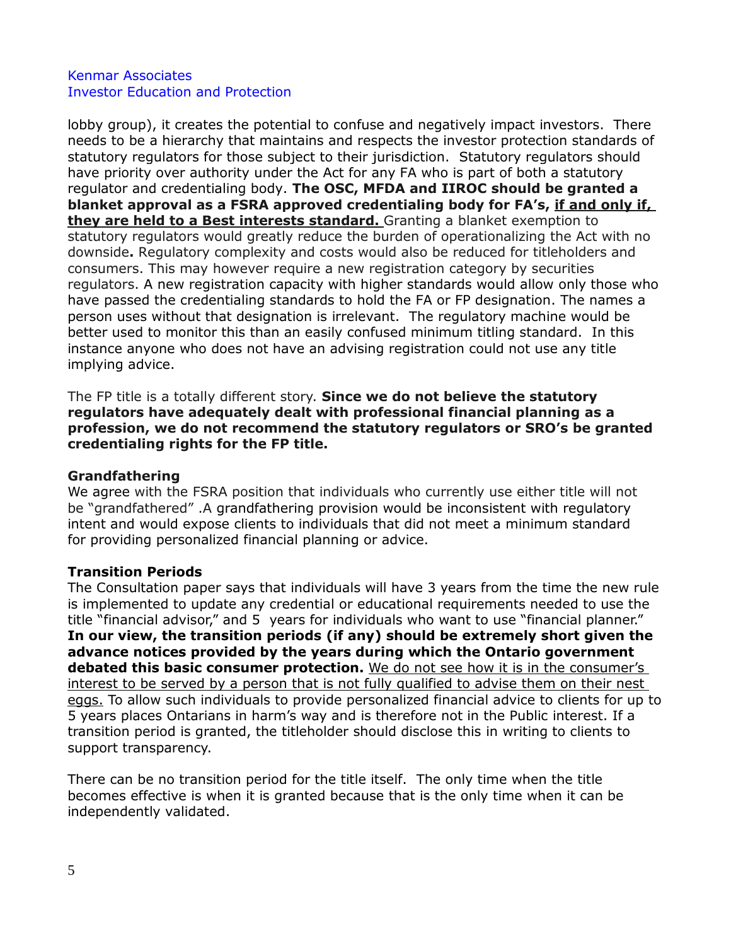lobby group), it creates the potential to confuse and negatively impact investors. There needs to be a hierarchy that maintains and respects the investor protection standards of statutory regulators for those subject to their jurisdiction. Statutory regulators should have priority over authority under the Act for any FA who is part of both a statutory regulator and credentialing body. **The OSC, MFDA and IIROC should be granted a blanket approval as a FSRA approved credentialing body for FA's, if and only if, they are held to a Best interests standard.** Granting a blanket exemption to statutory regulators would greatly reduce the burden of operationalizing the Act with no downside**.** Regulatory complexity and costs would also be reduced for titleholders and consumers. This may however require a new registration category by securities regulators. A new registration capacity with higher standards would allow only those who have passed the credentialing standards to hold the FA or FP designation. The names a person uses without that designation is irrelevant. The regulatory machine would be better used to monitor this than an easily confused minimum titling standard. In this instance anyone who does not have an advising registration could not use any title implying advice.

The FP title is a totally different story. **Since we do not believe the statutory regulators have adequately dealt with professional financial planning as a profession, we do not recommend the statutory regulators or SRO's be granted credentialing rights for the FP title.**

#### **Grandfathering**

We agree with the FSRA position that individuals who currently use either title will not be "grandfathered" .A grandfathering provision would be inconsistent with regulatory intent and would expose clients to individuals that did not meet a minimum standard for providing personalized financial planning or advice.

# **Transition Periods**

The Consultation paper says that individuals will have 3 years from the time the new rule is implemented to update any credential or educational requirements needed to use the title "financial advisor," and 5 years for individuals who want to use "financial planner." **In our view, the transition periods (if any) should be extremely short given the advance notices provided by the years during which the Ontario government debated this basic consumer protection.** We do not see how it is in the consumer's interest to be served by a person that is not fully qualified to advise them on their nest eggs. To allow such individuals to provide personalized financial advice to clients for up to 5 years places Ontarians in harm's way and is therefore not in the Public interest. If a transition period is granted, the titleholder should disclose this in writing to clients to support transparency.

There can be no transition period for the title itself. The only time when the title becomes effective is when it is granted because that is the only time when it can be independently validated.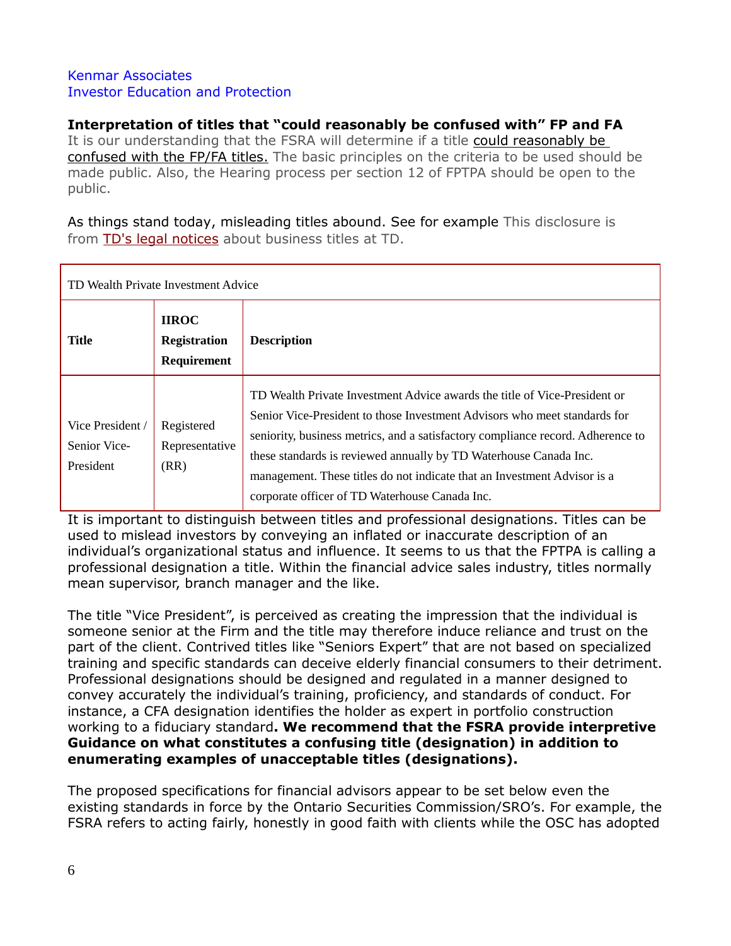# **Interpretation of titles that "could reasonably be confused with" FP and FA**

It is our understanding that the FSRA will determine if a title could reasonably be confused with the FP/FA titles. The basic principles on the criteria to be used should be made public. Also, the Hearing process per section 12 of FPTPA should be open to the public.

As things stand today, misleading titles abound. See for example This disclosure is from TD's legal [notices](https://www.td.com/to-our-customers/) about business titles at TD.

| TD Wealth Private Investment Advice           |                                                    |                                                                                                                                                                                                                                                                                                                                                                                                                                              |
|-----------------------------------------------|----------------------------------------------------|----------------------------------------------------------------------------------------------------------------------------------------------------------------------------------------------------------------------------------------------------------------------------------------------------------------------------------------------------------------------------------------------------------------------------------------------|
| <b>Title</b>                                  | <b>IIROC</b><br><b>Registration</b><br>Requirement | <b>Description</b>                                                                                                                                                                                                                                                                                                                                                                                                                           |
| Vice President /<br>Senior Vice-<br>President | Registered<br>Representative<br>(RR)               | TD Wealth Private Investment Advice awards the title of Vice-President or<br>Senior Vice-President to those Investment Advisors who meet standards for<br>seniority, business metrics, and a satisfactory compliance record. Adherence to<br>these standards is reviewed annually by TD Waterhouse Canada Inc.<br>management. These titles do not indicate that an Investment Advisor is a<br>corporate officer of TD Waterhouse Canada Inc. |

It is important to distinguish between titles and professional designations. Titles can be used to mislead investors by conveying an inflated or inaccurate description of an individual's organizational status and influence. It seems to us that the FPTPA is calling a professional designation a title. Within the financial advice sales industry, titles normally mean supervisor, branch manager and the like.

The title "Vice President", is perceived as creating the impression that the individual is someone senior at the Firm and the title may therefore induce reliance and trust on the part of the client. Contrived titles like "Seniors Expert" that are not based on specialized training and specific standards can deceive elderly financial consumers to their detriment. Professional designations should be designed and regulated in a manner designed to convey accurately the individual's training, proficiency, and standards of conduct. For instance, a CFA designation identifies the holder as expert in portfolio construction working to a fiduciary standard**. We recommend that the FSRA provide interpretive Guidance on what constitutes a confusing title (designation) in addition to enumerating examples of unacceptable titles (designations).**

The proposed specifications for financial advisors appear to be set below even the existing standards in force by the Ontario Securities Commission/SRO's. For example, the FSRA refers to acting fairly, honestly in good faith with clients while the OSC has adopted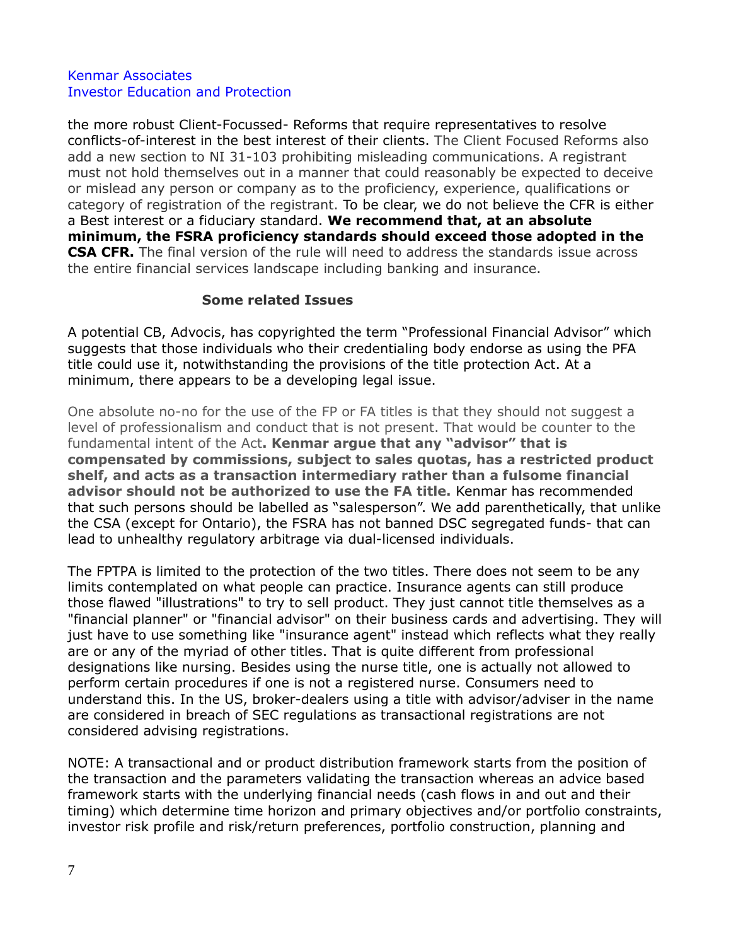the more robust Client-Focussed- Reforms that require representatives to resolve conflicts-of-interest in the best interest of their clients. The Client Focused Reforms also add a new section to NI 31-103 prohibiting misleading communications. A registrant must not hold themselves out in a manner that could reasonably be expected to deceive or mislead any person or company as to the proficiency, experience, qualifications or category of registration of the registrant. To be clear, we do not believe the CFR is either a Best interest or a fiduciary standard. **We recommend that, at an absolute minimum, the FSRA proficiency standards should exceed those adopted in the CSA CFR.** The final version of the rule will need to address the standards issue across the entire financial services landscape including banking and insurance.

## **Some related Issues**

A potential CB, Advocis, has copyrighted the term "Professional Financial Advisor" which suggests that those individuals who their credentialing body endorse as using the PFA title could use it, notwithstanding the provisions of the title protection Act. At a minimum, there appears to be a developing legal issue.

One absolute no-no for the use of the FP or FA titles is that they should not suggest a level of professionalism and conduct that is not present. That would be counter to the fundamental intent of the Act**. Kenmar argue that any "advisor" that is compensated by commissions, subject to sales quotas, has a restricted product shelf, and acts as a transaction intermediary rather than a fulsome financial advisor should not be authorized to use the FA title.** Kenmar has recommended that such persons should be labelled as "salesperson". We add parenthetically, that unlike the CSA (except for Ontario), the FSRA has not banned DSC segregated funds- that can lead to unhealthy regulatory arbitrage via dual-licensed individuals.

The FPTPA is limited to the protection of the two titles. There does not seem to be any limits contemplated on what people can practice. Insurance agents can still produce those flawed "illustrations" to try to sell product. They just cannot title themselves as a "financial planner" or "financial advisor" on their business cards and advertising. They will just have to use something like "insurance agent" instead which reflects what they really are or any of the myriad of other titles. That is quite different from professional designations like nursing. Besides using the nurse title, one is actually not allowed to perform certain procedures if one is not a registered nurse. Consumers need to understand this. In the US, broker-dealers using a title with advisor/adviser in the name are considered in breach of SEC regulations as transactional registrations are not considered advising registrations.

NOTE: A transactional and or product distribution framework starts from the position of the transaction and the parameters validating the transaction whereas an advice based framework starts with the underlying financial needs (cash flows in and out and their timing) which determine time horizon and primary objectives and/or portfolio constraints, investor risk profile and risk/return preferences, portfolio construction, planning and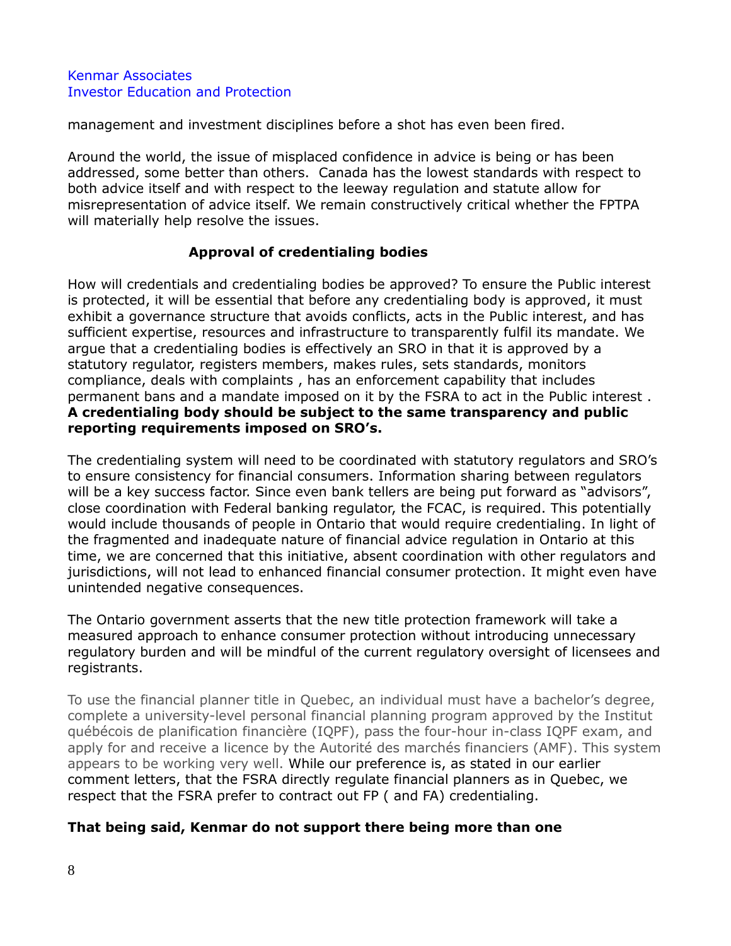management and investment disciplines before a shot has even been fired.

Around the world, the issue of misplaced confidence in advice is being or has been addressed, some better than others. Canada has the lowest standards with respect to both advice itself and with respect to the leeway regulation and statute allow for misrepresentation of advice itself. We remain constructively critical whether the FPTPA will materially help resolve the issues.

# **Approval of credentialing bodies**

How will credentials and credentialing bodies be approved? To ensure the Public interest is protected, it will be essential that before any credentialing body is approved, it must exhibit a governance structure that avoids conflicts, acts in the Public interest, and has sufficient expertise, resources and infrastructure to transparently fulfil its mandate. We argue that a credentialing bodies is effectively an SRO in that it is approved by a statutory regulator, registers members, makes rules, sets standards, monitors compliance, deals with complaints , has an enforcement capability that includes permanent bans and a mandate imposed on it by the FSRA to act in the Public interest . **A credentialing body should be subject to the same transparency and public reporting requirements imposed on SRO's.**

The credentialing system will need to be coordinated with statutory regulators and SRO's to ensure consistency for financial consumers. Information sharing between regulators will be a key success factor. Since even bank tellers are being put forward as "advisors", close coordination with Federal banking regulator, the FCAC, is required. This potentially would include thousands of people in Ontario that would require credentialing. In light of the fragmented and inadequate nature of financial advice regulation in Ontario at this time, we are concerned that this initiative, absent coordination with other regulators and jurisdictions, will not lead to enhanced financial consumer protection. It might even have unintended negative consequences.

The Ontario government asserts that the new title protection framework will take a measured approach to enhance consumer protection without introducing unnecessary regulatory burden and will be mindful of the current regulatory oversight of licensees and registrants.

To use the financial planner title in Quebec, an individual must have a bachelor's degree, complete a university-level personal financial planning program approved by the Institut québécois de planification financière (IQPF), pass the four-hour in-class IQPF exam, and apply for and receive a licence by the Autorité des marchés financiers (AMF). This system appears to be working very well. While our preference is, as stated in our earlier comment letters, that the FSRA directly regulate financial planners as in Quebec, we respect that the FSRA prefer to contract out FP ( and FA) credentialing.

# **That being said, Kenmar do not support there being more than one**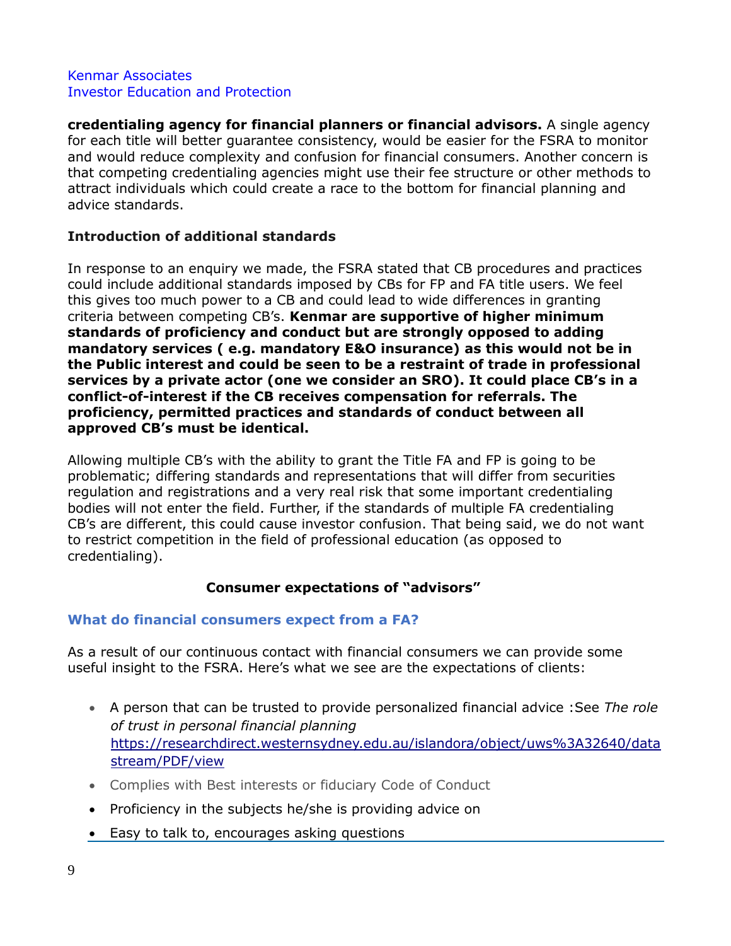**credentialing agency for financial planners or financial advisors.** A single agency for each title will better guarantee consistency, would be easier for the FSRA to monitor and would reduce complexity and confusion for financial consumers. Another concern is that competing credentialing agencies might use their fee structure or other methods to attract individuals which could create a race to the bottom for financial planning and advice standards.

# **Introduction of additional standards**

In response to an enquiry we made, the FSRA stated that CB procedures and practices could include additional standards imposed by CBs for FP and FA title users. We feel this gives too much power to a CB and could lead to wide differences in granting criteria between competing CB's. **Kenmar are supportive of higher minimum standards of proficiency and conduct but are strongly opposed to adding mandatory services ( e.g. mandatory E&O insurance) as this would not be in the Public interest and could be seen to be a restraint of trade in professional services by a private actor (one we consider an SRO). It could place CB's in a conflict-of-interest if the CB receives compensation for referrals. The proficiency, permitted practices and standards of conduct between all approved CB's must be identical.**

Allowing multiple CB's with the ability to grant the Title FA and FP is going to be problematic; differing standards and representations that will differ from securities regulation and registrations and a very real risk that some important credentialing bodies will not enter the field. Further, if the standards of multiple FA credentialing CB's are different, this could cause investor confusion. That being said, we do not want to restrict competition in the field of professional education (as opposed to credentialing).

# **Consumer expectations of "advisors"**

# **What do financial consumers expect from a FA?**

As a result of our continuous contact with financial consumers we can provide some useful insight to the FSRA. Here's what we see are the expectations of clients:

- A person that can be trusted to provide personalized financial advice :See *The role of trust in personal financial planning* [https://researchdirect.westernsydney.edu.au/islandora/object/uws%3A32640/data](https://researchdirect.westernsydney.edu.au/islandora/object/uws%3A32640/datastream/PDF/view) [stream/PDF/view](https://researchdirect.westernsydney.edu.au/islandora/object/uws%3A32640/datastream/PDF/view)
- Complies with Best interests or fiduciary Code of Conduct
- Proficiency in the subjects he/she is providing advice on
- Easy to talk to, encourages asking questions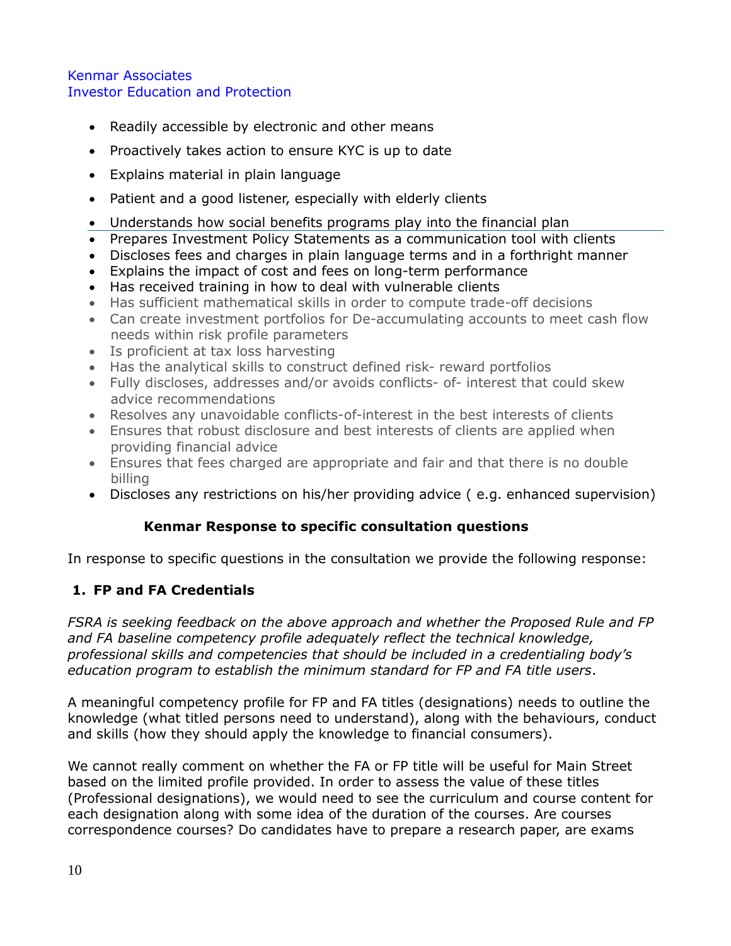- Readily accessible by electronic and other means
- Proactively takes action to ensure KYC is up to date
- Explains material in plain language
- Patient and a good listener, especially with elderly clients
- Understands how social benefits programs play into the financial plan
- Prepares Investment Policy Statements as a communication tool with clients
- Discloses fees and charges in plain language terms and in a forthright manner
- Explains the impact of cost and fees on long-term performance
- Has received training in how to deal with vulnerable clients
- Has sufficient mathematical skills in order to compute trade-off decisions
- Can create investment portfolios for De-accumulating accounts to meet cash flow needs within risk profile parameters
- Is proficient at tax loss harvesting
- Has the analytical skills to construct defined risk- reward portfolios
- Fully discloses, addresses and/or avoids conflicts- of- interest that could skew advice recommendations
- Resolves any unavoidable conflicts-of-interest in the best interests of clients
- Ensures that robust disclosure and best interests of clients are applied when providing financial advice
- Ensures that fees charged are appropriate and fair and that there is no double billing
- Discloses any restrictions on his/her providing advice ( e.g. enhanced supervision)

# **Kenmar Response to specific consultation questions**

In response to specific questions in the consultation we provide the following response:

# **1. FP and FA Credentials**

*FSRA is seeking feedback on the above approach and whether the Proposed Rule and FP and FA baseline competency profile adequately reflect the technical knowledge, professional skills and competencies that should be included in a credentialing body's education program to establish the minimum standard for FP and FA title users*.

A meaningful competency profile for FP and FA titles (designations) needs to outline the knowledge (what titled persons need to understand), along with the behaviours, conduct and skills (how they should apply the knowledge to financial consumers).

We cannot really comment on whether the FA or FP title will be useful for Main Street based on the limited profile provided. In order to assess the value of these titles (Professional designations), we would need to see the curriculum and course content for each designation along with some idea of the duration of the courses. Are courses correspondence courses? Do candidates have to prepare a research paper, are exams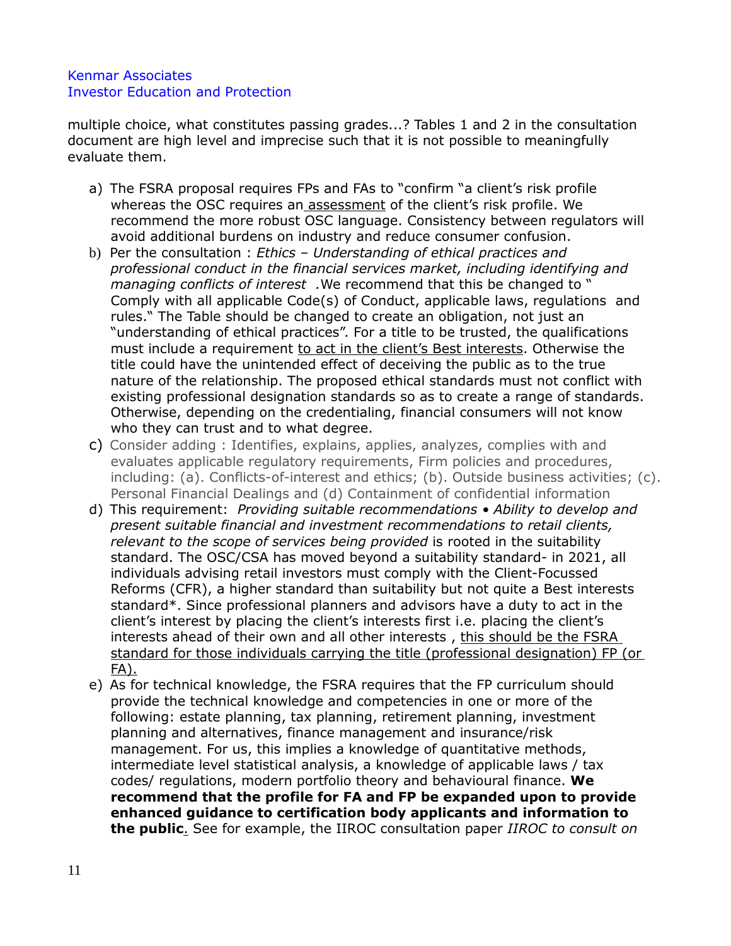multiple choice, what constitutes passing grades...? Tables 1 and 2 in the consultation document are high level and imprecise such that it is not possible to meaningfully evaluate them.

- a) The FSRA proposal requires FPs and FAs to "confirm "a client's risk profile whereas the OSC requires an assessment of the client's risk profile. We recommend the more robust OSC language. Consistency between regulators will avoid additional burdens on industry and reduce consumer confusion.
- b) Per the consultation : *Ethics – Understanding of ethical practices and professional conduct in the financial services market, including identifying and managing conflicts of interest .*We recommend that this be changed to " Comply with all applicable Code(s) of Conduct, applicable laws, regulations and rules." The Table should be changed to create an obligation, not just an "understanding of ethical practices". For a title to be trusted, the qualifications must include a requirement to act in the client's Best interests. Otherwise the title could have the unintended effect of deceiving the public as to the true nature of the relationship. The proposed ethical standards must not conflict with existing professional designation standards so as to create a range of standards. Otherwise, depending on the credentialing, financial consumers will not know who they can trust and to what degree.
- c) Consider adding : Identifies, explains, applies, analyzes, complies with and evaluates applicable regulatory requirements, Firm policies and procedures, including: (a). Conflicts-of-interest and ethics; (b). Outside business activities; (c). Personal Financial Dealings and (d) Containment of confidential information
- d) This requirement: *Providing suitable recommendations Ability to develop and present suitable financial and investment recommendations to retail clients, relevant to the scope of services being provided* is rooted in the suitability standard. The OSC/CSA has moved beyond a suitability standard- in 2021, all individuals advising retail investors must comply with the Client-Focussed Reforms (CFR), a higher standard than suitability but not quite a Best interests standard\*. Since professional planners and advisors have a duty to act in the client's interest by placing the client's interests first i.e. placing the client's interests ahead of their own and all other interests, this should be the FSRA standard for those individuals carrying the title (professional designation) FP (or FA).
- e) As for technical knowledge, the FSRA requires that the FP curriculum should provide the technical knowledge and competencies in one or more of the following: estate planning, tax planning, retirement planning, investment planning and alternatives, finance management and insurance/risk management. For us, this implies a knowledge of quantitative methods, intermediate level statistical analysis, a knowledge of applicable laws / tax codes/ regulations, modern portfolio theory and behavioural finance. **We recommend that the profile for FA and FP be expanded upon to provide enhanced guidance to certification body applicants and information to the public**. See for example, the IIROC consultation paper *IIROC to consult on*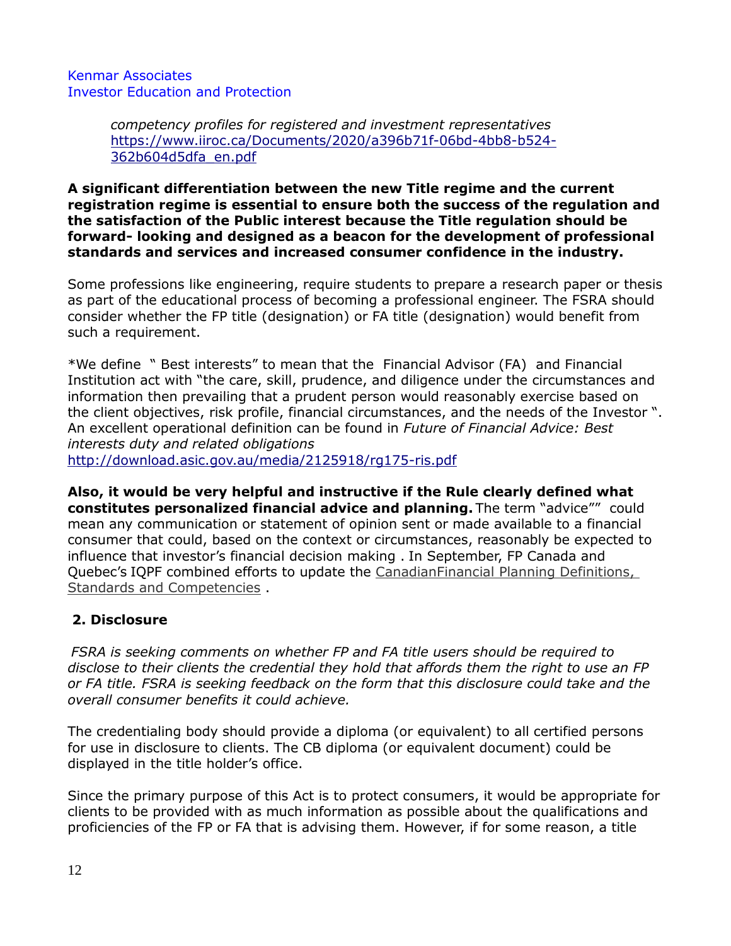> *competency profiles for registered and investment representatives* [https://www.iiroc.ca/Documents/2020/a396b71f-06bd-4bb8-b524-](https://www.iiroc.ca/Documents/2020/a396b71f-06bd-4bb8-b524-362b604d5dfa_en.pdf) [362b604d5dfa\\_en.pdf](https://www.iiroc.ca/Documents/2020/a396b71f-06bd-4bb8-b524-362b604d5dfa_en.pdf)

**A significant differentiation between the new Title regime and the current registration regime is essential to ensure both the success of the regulation and the satisfaction of the Public interest because the Title regulation should be forward- looking and designed as a beacon for the development of professional standards and services and increased consumer confidence in the industry.**

Some professions like engineering, require students to prepare a research paper or thesis as part of the educational process of becoming a professional engineer. The FSRA should consider whether the FP title (designation) or FA title (designation) would benefit from such a requirement.

\*We define " Best interests" to mean that the Financial Advisor (FA) and Financial Institution act with "the care, skill, prudence, and diligence under the circumstances and information then prevailing that a prudent person would reasonably exercise based on the client objectives, risk profile, financial circumstances, and the needs of the Investor ". An excellent operational definition can be found in *Future of Financial Advice: Best interests duty and related obligations*

<http://download.asic.gov.au/media/2125918/rg175-ris.pdf>

**Also, it would be very helpful and instructive if the Rule clearly defined what constitutes personalized financial advice and planning.** The term "advice"" could mean any communication or statement of opinion sent or made available to a financial consumer that could, based on the context or circumstances, reasonably be expected to influence that investor's financial decision making . In September, FP Canada and Quebec's IQPF combined efforts to update the [CanadianFinancial](https://www.flipsnack.com/CDC696EEFB5/canadian-financial-planning-blue-book-eng/full-view.html) [Planning Definitions,](https://www.flipsnack.com/CDC696EEFB5/canadian-financial-planning-blue-book-eng/full-view.html)  [Standards and Competencies](https://www.flipsnack.com/CDC696EEFB5/canadian-financial-planning-blue-book-eng/full-view.html) .

# **2. Disclosure**

*FSRA is seeking comments on whether FP and FA title users should be required to disclose to their clients the credential they hold that affords them the right to use an FP or FA title. FSRA is seeking feedback on the form that this disclosure could take and the overall consumer benefits it could achieve.*

The credentialing body should provide a diploma (or equivalent) to all certified persons for use in disclosure to clients. The CB diploma (or equivalent document) could be displayed in the title holder's office.

Since the primary purpose of this Act is to protect consumers, it would be appropriate for clients to be provided with as much information as possible about the qualifications and proficiencies of the FP or FA that is advising them. However, if for some reason, a title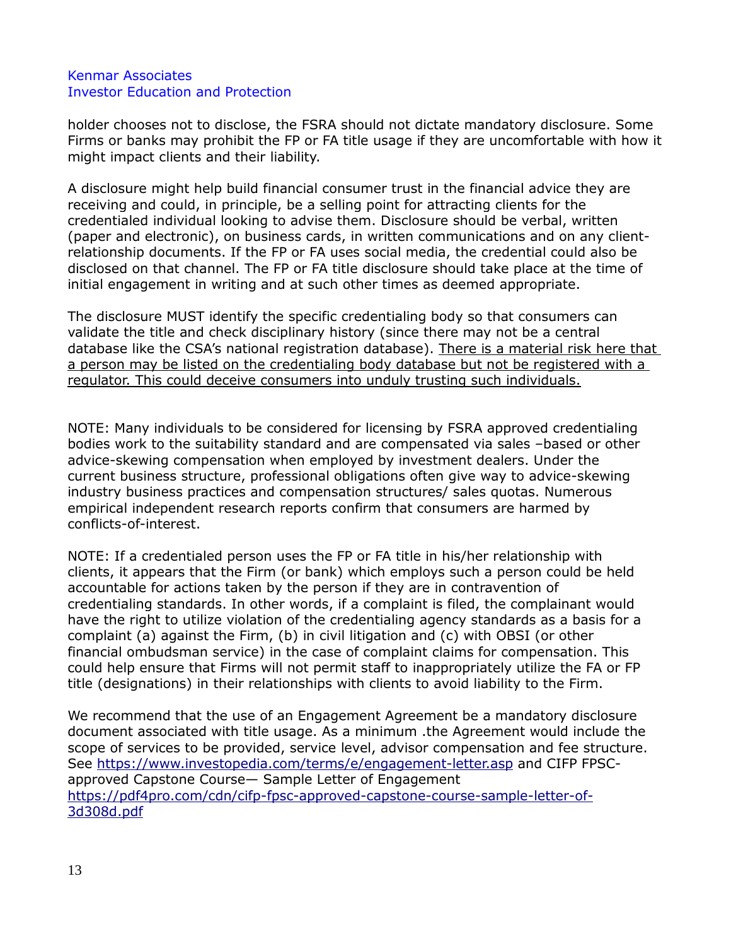holder chooses not to disclose, the FSRA should not dictate mandatory disclosure. Some Firms or banks may prohibit the FP or FA title usage if they are uncomfortable with how it might impact clients and their liability.

A disclosure might help build financial consumer trust in the financial advice they are receiving and could, in principle, be a selling point for attracting clients for the credentialed individual looking to advise them. Disclosure should be verbal, written (paper and electronic), on business cards, in written communications and on any clientrelationship documents. If the FP or FA uses social media, the credential could also be disclosed on that channel. The FP or FA title disclosure should take place at the time of initial engagement in writing and at such other times as deemed appropriate.

The disclosure MUST identify the specific credentialing body so that consumers can validate the title and check disciplinary history (since there may not be a central database like the CSA's national registration database). There is a material risk here that a person may be listed on the credentialing body database but not be registered with a regulator. This could deceive consumers into unduly trusting such individuals.

NOTE: Many individuals to be considered for licensing by FSRA approved credentialing bodies work to the suitability standard and are compensated via sales –based or other advice-skewing compensation when employed by investment dealers. Under the current business structure, professional obligations often give way to advice-skewing industry business practices and compensation structures/ sales quotas. Numerous empirical independent research reports confirm that consumers are harmed by conflicts-of-interest.

NOTE: If a credentialed person uses the FP or FA title in his/her relationship with clients, it appears that the Firm (or bank) which employs such a person could be held accountable for actions taken by the person if they are in contravention of credentialing standards. In other words, if a complaint is filed, the complainant would have the right to utilize violation of the credentialing agency standards as a basis for a complaint (a) against the Firm, (b) in civil litigation and (c) with OBSI (or other financial ombudsman service) in the case of complaint claims for compensation. This could help ensure that Firms will not permit staff to inappropriately utilize the FA or FP title (designations) in their relationships with clients to avoid liability to the Firm.

We recommend that the use of an Engagement Agreement be a mandatory disclosure document associated with title usage. As a minimum .the Agreement would include the scope of services to be provided, service level, advisor compensation and fee structure. See<https://www.investopedia.com/terms/e/engagement-letter.asp> and CIFP FPSCapproved Capstone Course— Sample Letter of Engagement [https://pdf4pro.com/cdn/cifp-fpsc-approved-capstone-course-sample-letter-of-](https://pdf4pro.com/cdn/cifp-fpsc-approved-capstone-course-sample-letter-of-3d308d.pdf)[3d308d.pdf](https://pdf4pro.com/cdn/cifp-fpsc-approved-capstone-course-sample-letter-of-3d308d.pdf)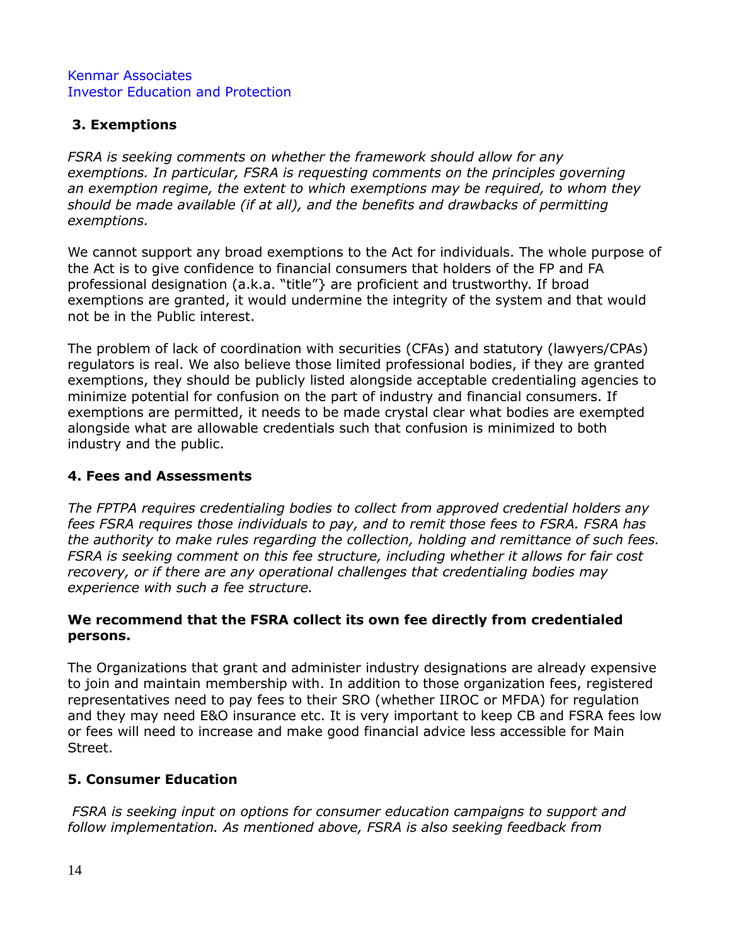# **3. Exemptions**

*FSRA is seeking comments on whether the framework should allow for any exemptions. In particular, FSRA is requesting comments on the principles governing an exemption regime, the extent to which exemptions may be required, to whom they should be made available (if at all), and the benefits and drawbacks of permitting exemptions.*

We cannot support any broad exemptions to the Act for individuals. The whole purpose of the Act is to give confidence to financial consumers that holders of the FP and FA professional designation (a.k.a. "title"} are proficient and trustworthy. If broad exemptions are granted, it would undermine the integrity of the system and that would not be in the Public interest.

The problem of lack of coordination with securities (CFAs) and statutory (lawyers/CPAs) regulators is real. We also believe those limited professional bodies, if they are granted exemptions, they should be publicly listed alongside acceptable credentialing agencies to minimize potential for confusion on the part of industry and financial consumers. If exemptions are permitted, it needs to be made crystal clear what bodies are exempted alongside what are allowable credentials such that confusion is minimized to both industry and the public.

# **4. Fees and Assessments**

*The FPTPA requires credentialing bodies to collect from approved credential holders any fees FSRA requires those individuals to pay, and to remit those fees to FSRA. FSRA has the authority to make rules regarding the collection, holding and remittance of such fees. FSRA is seeking comment on this fee structure, including whether it allows for fair cost recovery, or if there are any operational challenges that credentialing bodies may experience with such a fee structure.* 

# **We recommend that the FSRA collect its own fee directly from credentialed persons.**

The Organizations that grant and administer industry designations are already expensive to join and maintain membership with. In addition to those organization fees, registered representatives need to pay fees to their SRO (whether IIROC or MFDA) for regulation and they may need E&O insurance etc. It is very important to keep CB and FSRA fees low or fees will need to increase and make good financial advice less accessible for Main Street.

# **5. Consumer Education**

*FSRA is seeking input on options for consumer education campaigns to support and follow implementation. As mentioned above, FSRA is also seeking feedback from*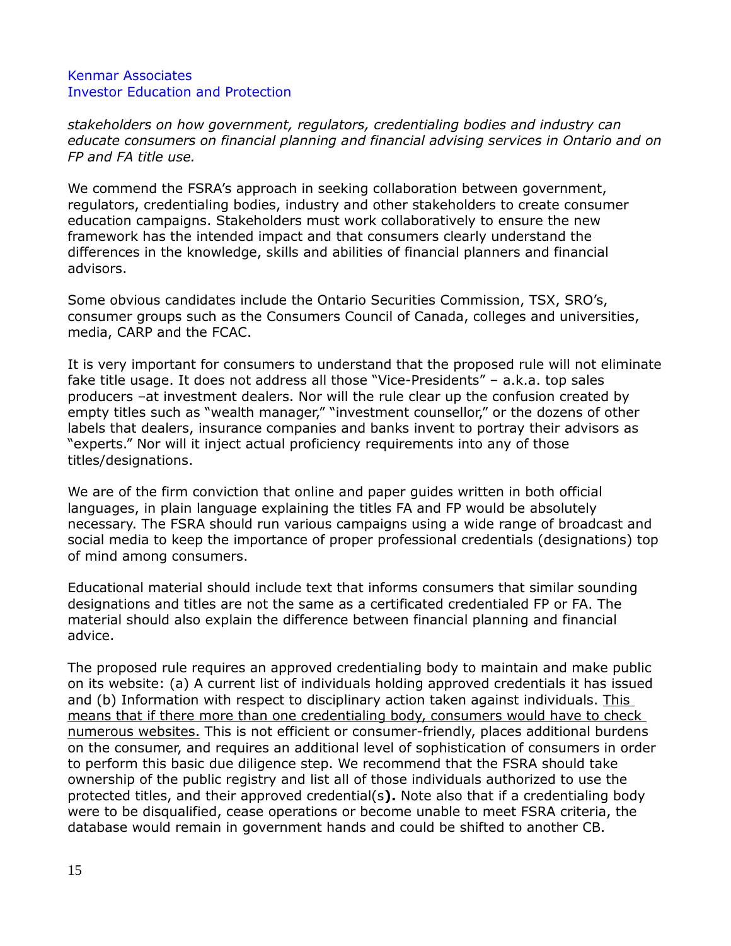*stakeholders on how government, regulators, credentialing bodies and industry can educate consumers on financial planning and financial advising services in Ontario and on FP and FA title use.*

We commend the FSRA's approach in seeking collaboration between government, regulators, credentialing bodies, industry and other stakeholders to create consumer education campaigns. Stakeholders must work collaboratively to ensure the new framework has the intended impact and that consumers clearly understand the differences in the knowledge, skills and abilities of financial planners and financial advisors.

Some obvious candidates include the Ontario Securities Commission, TSX, SRO's, consumer groups such as the Consumers Council of Canada, colleges and universities, media, CARP and the FCAC.

It is very important for consumers to understand that the proposed rule will not eliminate fake title usage. It does not address all those "Vice-Presidents" – a.k.a. top sales producers –at investment dealers. Nor will the rule clear up the confusion created by empty titles such as "wealth manager," "investment counsellor," or the dozens of other labels that dealers, insurance companies and banks invent to portray their advisors as "experts." Nor will it inject actual proficiency requirements into any of those titles/designations.

We are of the firm conviction that online and paper guides written in both official languages, in plain language explaining the titles FA and FP would be absolutely necessary. The FSRA should run various campaigns using a wide range of broadcast and social media to keep the importance of proper professional credentials (designations) top of mind among consumers.

Educational material should include text that informs consumers that similar sounding designations and titles are not the same as a certificated credentialed FP or FA. The material should also explain the difference between financial planning and financial advice.

The proposed rule requires an approved credentialing body to maintain and make public on its website: (a) A current list of individuals holding approved credentials it has issued and (b) Information with respect to disciplinary action taken against individuals. This means that if there more than one credentialing body, consumers would have to check numerous websites. This is not efficient or consumer-friendly, places additional burdens on the consumer, and requires an additional level of sophistication of consumers in order to perform this basic due diligence step. We recommend that the FSRA should take ownership of the public registry and list all of those individuals authorized to use the protected titles, and their approved credential(s**).** Note also that if a credentialing body were to be disqualified, cease operations or become unable to meet FSRA criteria, the database would remain in government hands and could be shifted to another CB.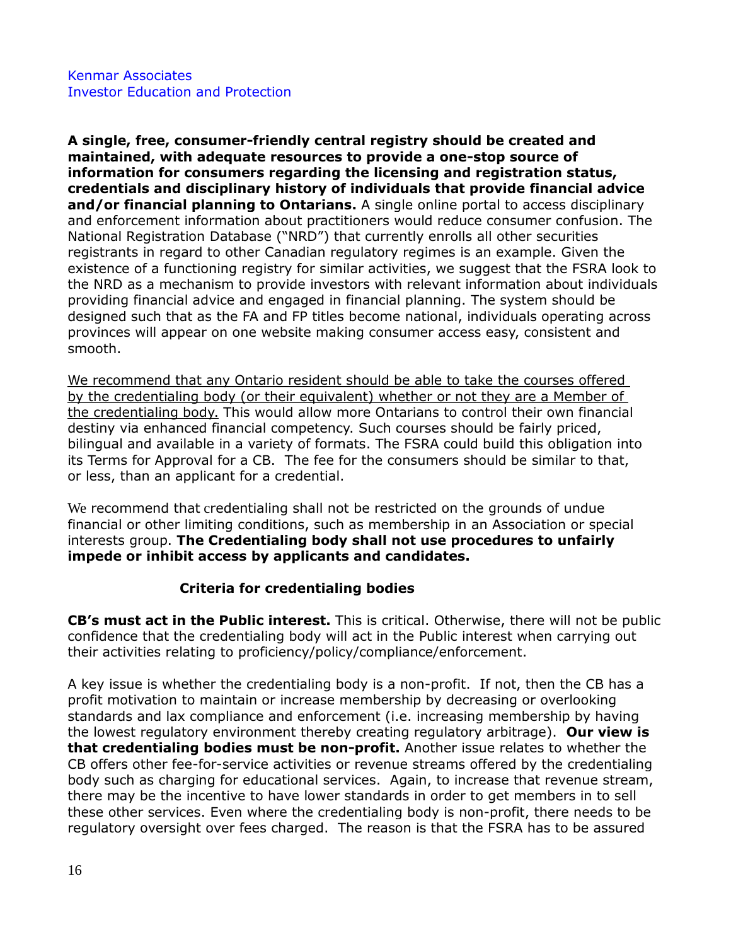**A single, free, consumer-friendly central registry should be created and maintained, with adequate resources to provide a one-stop source of information for consumers regarding the licensing and registration status, credentials and disciplinary history of individuals that provide financial advice and/or financial planning to Ontarians.** A single online portal to access disciplinary and enforcement information about practitioners would reduce consumer confusion. The National Registration Database ("NRD") that currently enrolls all other securities registrants in regard to other Canadian regulatory regimes is an example. Given the existence of a functioning registry for similar activities, we suggest that the FSRA look to the NRD as a mechanism to provide investors with relevant information about individuals providing financial advice and engaged in financial planning. The system should be designed such that as the FA and FP titles become national, individuals operating across provinces will appear on one website making consumer access easy, consistent and smooth.

We recommend that any Ontario resident should be able to take the courses offered by the credentialing body (or their equivalent) whether or not they are a Member of the credentialing body. This would allow more Ontarians to control their own financial destiny via enhanced financial competency. Such courses should be fairly priced, bilingual and available in a variety of formats. The FSRA could build this obligation into its Terms for Approval for a CB. The fee for the consumers should be similar to that, or less, than an applicant for a credential.

We recommend that credentialing shall not be restricted on the grounds of undue financial or other limiting conditions, such as membership in an Association or special interests group. **The Credentialing body shall not use procedures to unfairly impede or inhibit access by applicants and candidates.**

# **Criteria for credentialing bodies**

**CB's must act in the Public interest.** This is critical. Otherwise, there will not be public confidence that the credentialing body will act in the Public interest when carrying out their activities relating to proficiency/policy/compliance/enforcement.

A key issue is whether the credentialing body is a non-profit. If not, then the CB has a profit motivation to maintain or increase membership by decreasing or overlooking standards and lax compliance and enforcement (i.e. increasing membership by having the lowest regulatory environment thereby creating regulatory arbitrage). **Our view is that credentialing bodies must be non-profit.** Another issue relates to whether the CB offers other fee-for-service activities or revenue streams offered by the credentialing body such as charging for educational services. Again, to increase that revenue stream, there may be the incentive to have lower standards in order to get members in to sell these other services. Even where the credentialing body is non-profit, there needs to be regulatory oversight over fees charged. The reason is that the FSRA has to be assured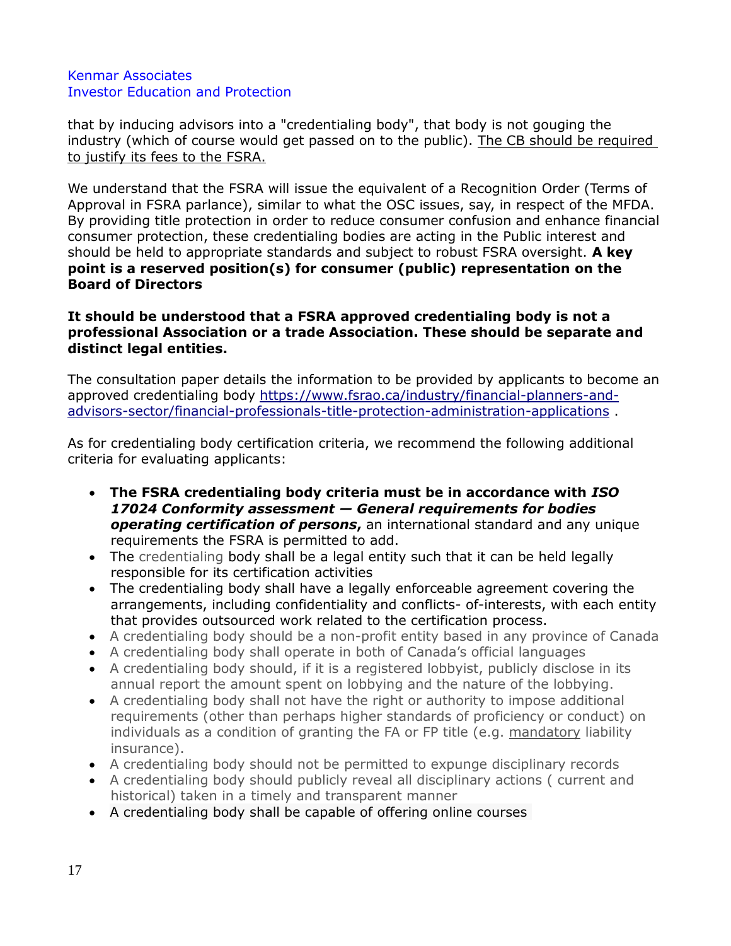that by inducing advisors into a "credentialing body", that body is not gouging the industry (which of course would get passed on to the public). The CB should be required to justify its fees to the FSRA.

We understand that the FSRA will issue the equivalent of a Recognition Order (Terms of Approval in FSRA parlance), similar to what the OSC issues, say, in respect of the MFDA. By providing title protection in order to reduce consumer confusion and enhance financial consumer protection, these credentialing bodies are acting in the Public interest and should be held to appropriate standards and subject to robust FSRA oversight. **A key point is a reserved position(s) for consumer (public) representation on the Board of Directors**

## **It should be understood that a FSRA approved credentialing body is not a professional Association or a trade Association. These should be separate and distinct legal entities.**

The consultation paper details the information to be provided by applicants to become an approved credentialing body [https://www.fsrao.ca/industry/financial-planners-and](https://www.fsrao.ca/industry/financial-planners-and-advisors-sector/financial-professionals-title-protection-administration-applications)[advisors-sector/financial-professionals-title-protection-administration-applications](https://www.fsrao.ca/industry/financial-planners-and-advisors-sector/financial-professionals-title-protection-administration-applications) .

As for credentialing body certification criteria, we recommend the following additional criteria for evaluating applicants:

- **The FSRA credentialing body criteria must be in accordance with** *ISO 17024 Conformity assessment — General requirements for bodies operating certification of persons***,** an international standard and any unique requirements the FSRA is permitted to add.
- The credentialing body shall be a legal entity such that it can be held legally responsible for its certification activities
- The credentialing body shall have a legally enforceable agreement covering the arrangements, including confidentiality and conflicts- of-interests, with each entity that provides outsourced work related to the certification process.
- A credentialing body should be a non-profit entity based in any province of Canada
- A credentialing body shall operate in both of Canada's official languages
- A credentialing body should, if it is a registered lobbyist, publicly disclose in its annual report the amount spent on lobbying and the nature of the lobbying.
- A credentialing body shall not have the right or authority to impose additional requirements (other than perhaps higher standards of proficiency or conduct) on individuals as a condition of granting the FA or FP title (e.g. mandatory liability insurance).
- A credentialing body should not be permitted to expunge disciplinary records
- A credentialing body should publicly reveal all disciplinary actions ( current and historical) taken in a timely and transparent manner
- A credentialing body shall be capable of offering online courses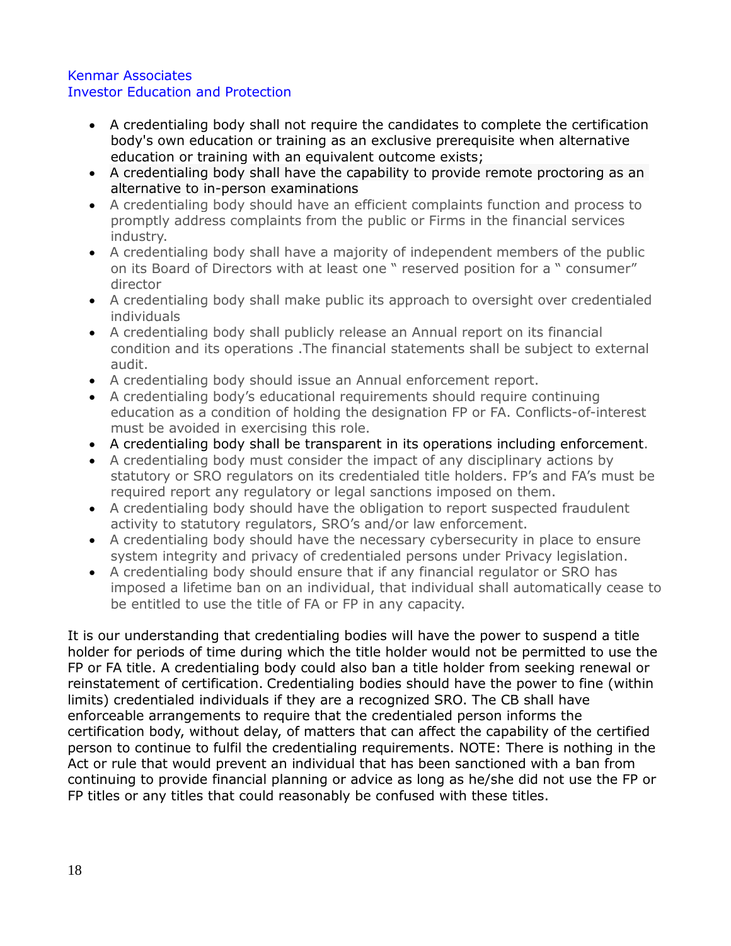- A credentialing body shall not require the candidates to complete the certification body's own education or training as an exclusive prerequisite when alternative education or training with an equivalent outcome exists;
- A credentialing body shall have the capability to provide remote proctoring as an alternative to in-person examinations
- A credentialing body should have an efficient complaints function and process to promptly address complaints from the public or Firms in the financial services industry.
- A credentialing body shall have a majority of independent members of the public on its Board of Directors with at least one " reserved position for a " consumer" director
- A credentialing body shall make public its approach to oversight over credentialed individuals
- A credentialing body shall publicly release an Annual report on its financial condition and its operations .The financial statements shall be subject to external audit.
- A credentialing body should issue an Annual enforcement report.
- A credentialing body's educational requirements should require continuing education as a condition of holding the designation FP or FA. Conflicts-of-interest must be avoided in exercising this role.
- A credentialing body shall be transparent in its operations including enforcement.
- A credentialing body must consider the impact of any disciplinary actions by statutory or SRO regulators on its credentialed title holders. FP's and FA's must be required report any regulatory or legal sanctions imposed on them.
- A credentialing body should have the obligation to report suspected fraudulent activity to statutory regulators, SRO's and/or law enforcement.
- A credentialing body should have the necessary cybersecurity in place to ensure system integrity and privacy of credentialed persons under Privacy legislation.
- A credentialing body should ensure that if any financial regulator or SRO has imposed a lifetime ban on an individual, that individual shall automatically cease to be entitled to use the title of FA or FP in any capacity.

It is our understanding that credentialing bodies will have the power to suspend a title holder for periods of time during which the title holder would not be permitted to use the FP or FA title. A credentialing body could also ban a title holder from seeking renewal or reinstatement of certification. Credentialing bodies should have the power to fine (within limits) credentialed individuals if they are a recognized SRO. The CB shall have enforceable arrangements to require that the credentialed person informs the certification body, without delay, of matters that can affect the capability of the certified person to continue to fulfil the credentialing requirements. NOTE: There is nothing in the Act or rule that would prevent an individual that has been sanctioned with a ban from continuing to provide financial planning or advice as long as he/she did not use the FP or FP titles or any titles that could reasonably be confused with these titles.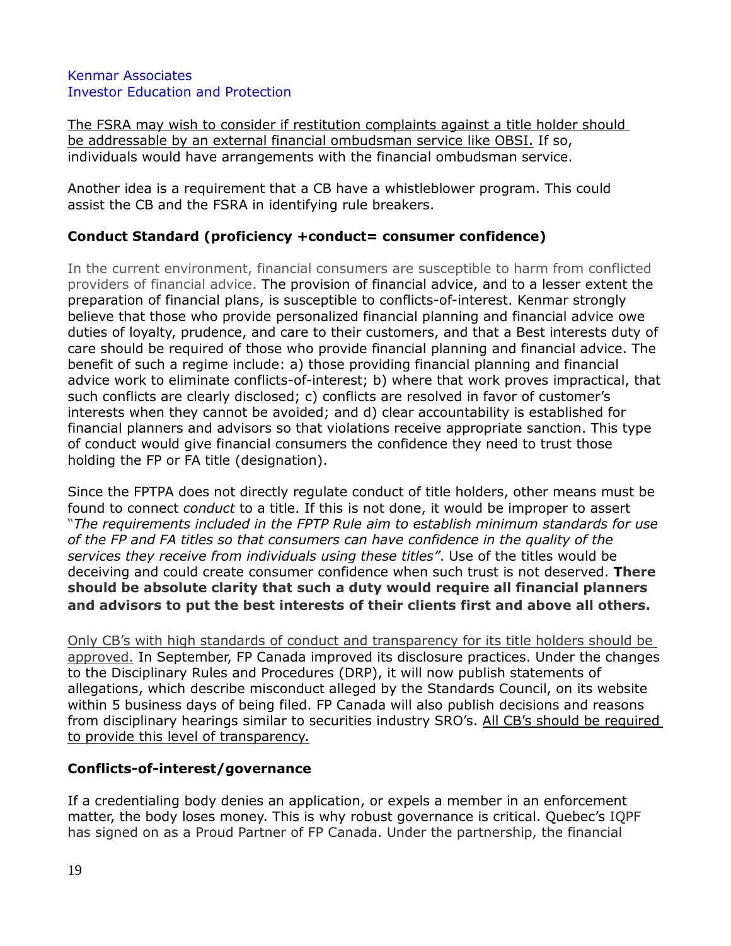The FSRA may wish to consider if restitution complaints against a title holder should be addressable by an external financial ombudsman service like OBSI. If so, individuals would have arrangements with the financial ombudsman service.

Another idea is a requirement that a CB have a whistleblower program. This could assist the CB and the FSRA in identifying rule breakers.

# **Conduct Standard (proficiency +conduct= consumer confidence)**

In the current environment, financial consumers are susceptible to harm from conflicted providers of financial advice. The provision of financial advice, and to a lesser extent the preparation of financial plans, is susceptible to conflicts-of-interest. Kenmar strongly believe that those who provide personalized financial planning and financial advice owe duties of loyalty, prudence, and care to their customers, and that a Best interests duty of care should be required of those who provide financial planning and financial advice. The benefit of such a regime include: a) those providing financial planning and financial advice work to eliminate conflicts-of-interest; b) where that work proves impractical, that such conflicts are clearly disclosed; c) conflicts are resolved in favor of customer's interests when they cannot be avoided; and d) clear accountability is established for financial planners and advisors so that violations receive appropriate sanction. This type of conduct would give financial consumers the confidence they need to trust those holding the FP or FA title (designation).

Since the FPTPA does not directly regulate conduct of title holders, other means must be found to connect *conduct* to a title. If this is not done, it would be improper to assert "*The requirements included in the FPTP Rule aim to establish minimum standards for use of the FP and FA titles so that consumers can have confidence in the quality of the services they receive from individuals using these titles"*. Use of the titles would be deceiving and could create consumer confidence when such trust is not deserved. **There should be absolute clarity that such a duty would require all financial planners and advisors to put the best interests of their clients first and above all others.**

Only CB's with high standards of conduct and transparency for its title holders should be approved. In September, FP Canada improved its disclosure practices. Under the changes to the Disciplinary Rules and Procedures (DRP), it will now publish statements of allegations, which describe misconduct alleged by the Standards Council, on its website within 5 business days of being filed. FP Canada will also publish decisions and reasons from disciplinary hearings similar to securities industry SRO's. All CB's should be required to provide this level of transparency.

# **Conflicts-of-interest/governance**

If a credentialing body denies an application, or expels a member in an enforcement matter, the body loses money. This is why robust governance is critical. Quebec's IQPF has signed on as a Proud Partner of FP Canada. Under the partnership, the financial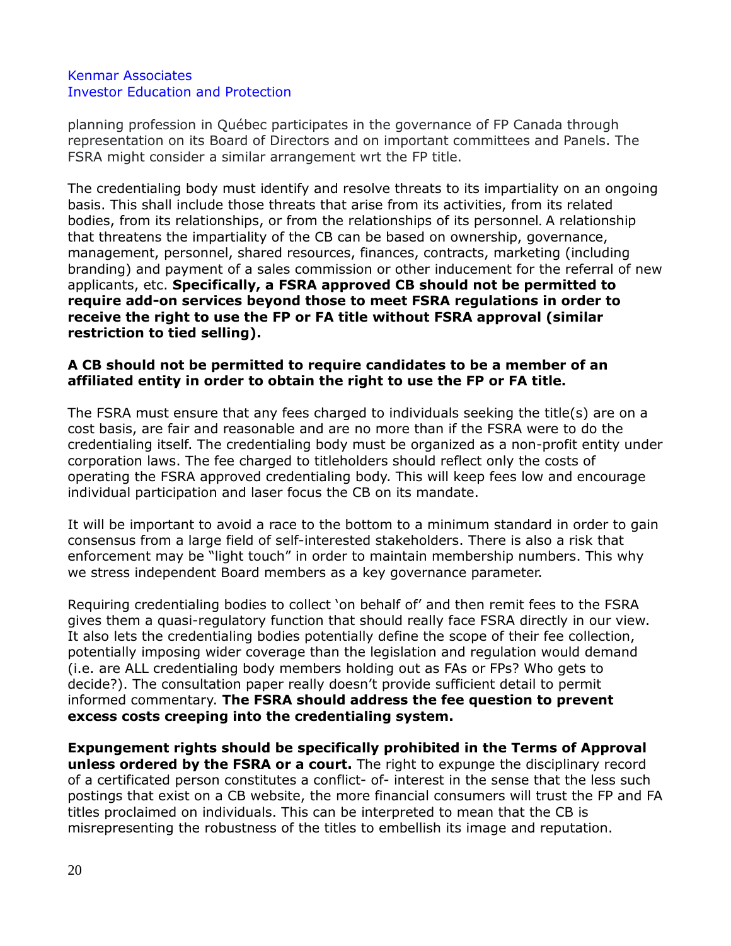planning profession in Québec participates in the governance of FP Canada through representation on its Board of Directors and on important committees and Panels. The FSRA might consider a similar arrangement wrt the FP title.

The credentialing body must identify and resolve threats to its impartiality on an ongoing basis. This shall include those threats that arise from its activities, from its related bodies, from its relationships, or from the relationships of its personnel. A relationship that threatens the impartiality of the CB can be based on ownership, governance, management, personnel, shared resources, finances, contracts, marketing (including branding) and payment of a sales commission or other inducement for the referral of new applicants, etc. **Specifically, a FSRA approved CB should not be permitted to require add-on services beyond those to meet FSRA regulations in order to receive the right to use the FP or FA title without FSRA approval (similar restriction to tied selling).**

## **A CB should not be permitted to require candidates to be a member of an affiliated entity in order to obtain the right to use the FP or FA title.**

The FSRA must ensure that any fees charged to individuals seeking the title(s) are on a cost basis, are fair and reasonable and are no more than if the FSRA were to do the credentialing itself. The credentialing body must be organized as a non-profit entity under corporation laws. The fee charged to titleholders should reflect only the costs of operating the FSRA approved credentialing body. This will keep fees low and encourage individual participation and laser focus the CB on its mandate.

It will be important to avoid a race to the bottom to a minimum standard in order to gain consensus from a large field of self-interested stakeholders. There is also a risk that enforcement may be "light touch" in order to maintain membership numbers. This why we stress independent Board members as a key governance parameter.

Requiring credentialing bodies to collect 'on behalf of' and then remit fees to the FSRA gives them a quasi-regulatory function that should really face FSRA directly in our view. It also lets the credentialing bodies potentially define the scope of their fee collection, potentially imposing wider coverage than the legislation and regulation would demand (i.e. are ALL credentialing body members holding out as FAs or FPs? Who gets to decide?). The consultation paper really doesn't provide sufficient detail to permit informed commentary. **The FSRA should address the fee question to prevent excess costs creeping into the credentialing system.** 

**Expungement rights should be specifically prohibited in the Terms of Approval unless ordered by the FSRA or a court.** The right to expunge the disciplinary record of a certificated person constitutes a conflict- of- interest in the sense that the less such postings that exist on a CB website, the more financial consumers will trust the FP and FA titles proclaimed on individuals. This can be interpreted to mean that the CB is misrepresenting the robustness of the titles to embellish its image and reputation.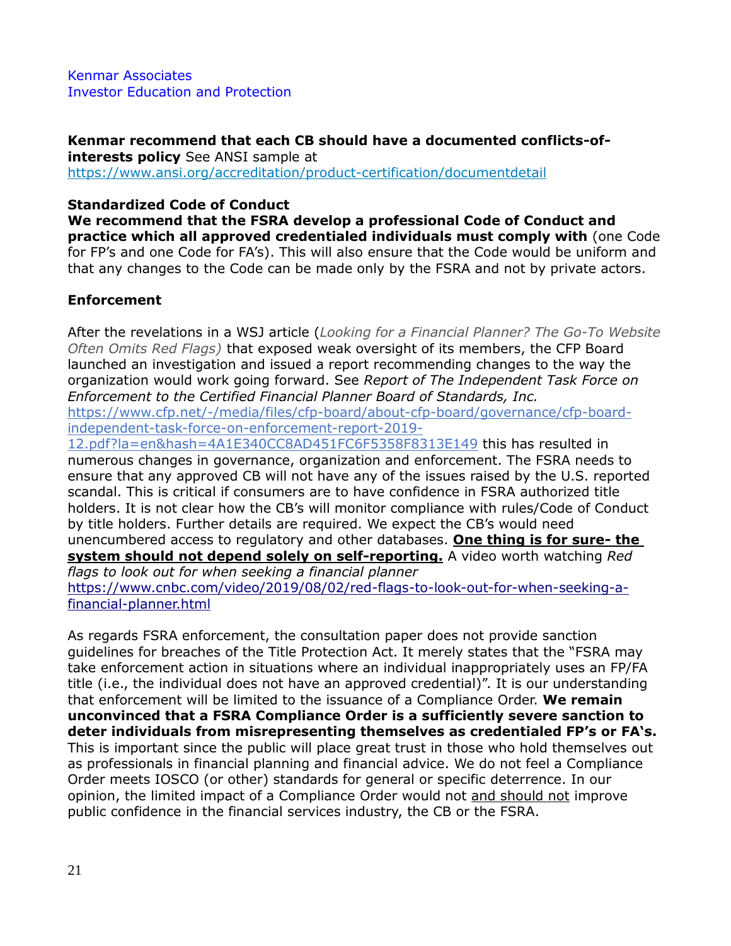**Kenmar recommend that each CB should have a documented conflicts-ofinterests policy** See ANSI sample at <https://www.ansi.org/accreditation/product-certification/documentdetail>

# **Standardized Code of Conduct**

**We recommend that the FSRA develop a professional Code of Conduct and practice which all approved credentialed individuals must comply with** (one Code for FP's and one Code for FA's). This will also ensure that the Code would be uniform and that any changes to the Code can be made only by the FSRA and not by private actors.

# **Enforcement**

After the revelations in a WSJ article (*Looking for a Financial Planner? The Go-To Website Often Omits Red Flags)* that exposed weak oversight of its members, the CFP Board launched an investigation and issued a report recommending changes to the way the organization would work going forward. See *Report of The Independent Task Force on Enforcement to the Certified Financial Planner Board of Standards, Inc.*

https://www.cfp.net/-/media/files/cfp-board/about-cfp-board/governance/cfp-boardindependent-task-force-on-enforcement-report-2019-

12.pdf?la=en&hash=4A1E340CC8AD451FC6F5358F8313E149 this has resulted in numerous changes in governance, organization and enforcement. The FSRA needs to ensure that any approved CB will not have any of the issues raised by the U.S. reported scandal. This is critical if consumers are to have confidence in FSRA authorized title holders. It is not clear how the CB's will monitor compliance with rules/Code of Conduct by title holders. Further details are required. We expect the CB's would need unencumbered access to regulatory and other databases. **One thing is for sure- the system should not depend solely on self-reporting.** A video worth watching *Red* 

*flags to look out for when seeking a financial planner* [https://www.cnbc.com/video/2019/08/02/red-flags-to-look-out-for-when-seeking-a](https://www.cnbc.com/video/2019/08/02/red-flags-to-look-out-for-when-seeking-a-financial-planner.html)[financial-planner.html](https://www.cnbc.com/video/2019/08/02/red-flags-to-look-out-for-when-seeking-a-financial-planner.html)

As regards FSRA enforcement, the consultation paper does not provide sanction guidelines for breaches of the Title Protection Act. It merely states that the "FSRA may take enforcement action in situations where an individual inappropriately uses an FP/FA title (i.e., the individual does not have an approved credential)". It is our understanding that enforcement will be limited to the issuance of a Compliance Order. **We remain unconvinced that a FSRA Compliance Order is a sufficiently severe sanction to deter individuals from misrepresenting themselves as credentialed FP's or FA's.**  This is important since the public will place great trust in those who hold themselves out as professionals in financial planning and financial advice. We do not feel a Compliance Order meets IOSCO (or other) standards for general or specific deterrence. In our opinion, the limited impact of a Compliance Order would not and should not improve public confidence in the financial services industry, the CB or the FSRA.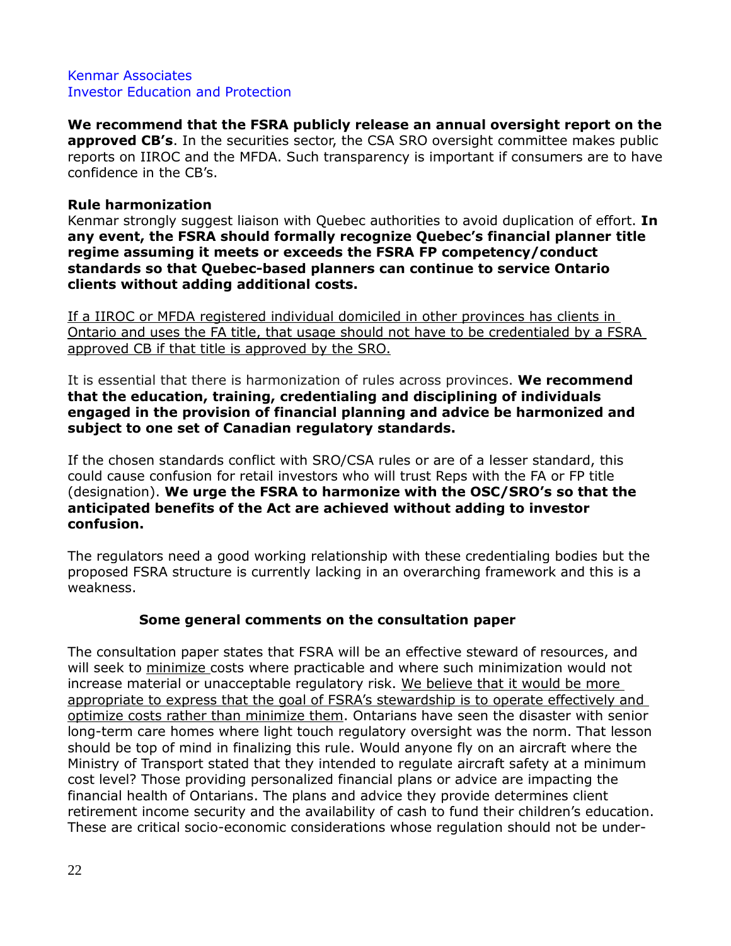**We recommend that the FSRA publicly release an annual oversight report on the approved CB's**. In the securities sector, the CSA SRO oversight committee makes public reports on IIROC and the MFDA. Such transparency is important if consumers are to have confidence in the CB's.

# **Rule harmonization**

Kenmar strongly suggest liaison with Quebec authorities to avoid duplication of effort. **In any event, the FSRA should formally recognize Quebec's financial planner title regime assuming it meets or exceeds the FSRA FP competency/conduct standards so that Quebec-based planners can continue to service Ontario clients without adding additional costs.**

If a IIROC or MFDA registered individual domiciled in other provinces has clients in Ontario and uses the FA title, that usage should not have to be credentialed by a FSRA approved CB if that title is approved by the SRO.

#### It is essential that there is harmonization of rules across provinces. **We recommend that the education, training, credentialing and disciplining of individuals engaged in the provision of financial planning and advice be harmonized and subject to one set of Canadian regulatory standards.**

If the chosen standards conflict with SRO/CSA rules or are of a lesser standard, this could cause confusion for retail investors who will trust Reps with the FA or FP title (designation). **We urge the FSRA to harmonize with the OSC/SRO's so that the anticipated benefits of the Act are achieved without adding to investor confusion.**

The regulators need a good working relationship with these credentialing bodies but the proposed FSRA structure is currently lacking in an overarching framework and this is a weakness.

# **Some general comments on the consultation paper**

The consultation paper states that FSRA will be an effective steward of resources, and will seek to minimize costs where practicable and where such minimization would not increase material or unacceptable regulatory risk. We believe that it would be more appropriate to express that the goal of FSRA's stewardship is to operate effectively and optimize costs rather than minimize them. Ontarians have seen the disaster with senior long-term care homes where light touch regulatory oversight was the norm. That lesson should be top of mind in finalizing this rule. Would anyone fly on an aircraft where the Ministry of Transport stated that they intended to regulate aircraft safety at a minimum cost level? Those providing personalized financial plans or advice are impacting the financial health of Ontarians. The plans and advice they provide determines client retirement income security and the availability of cash to fund their children's education. These are critical socio-economic considerations whose regulation should not be under-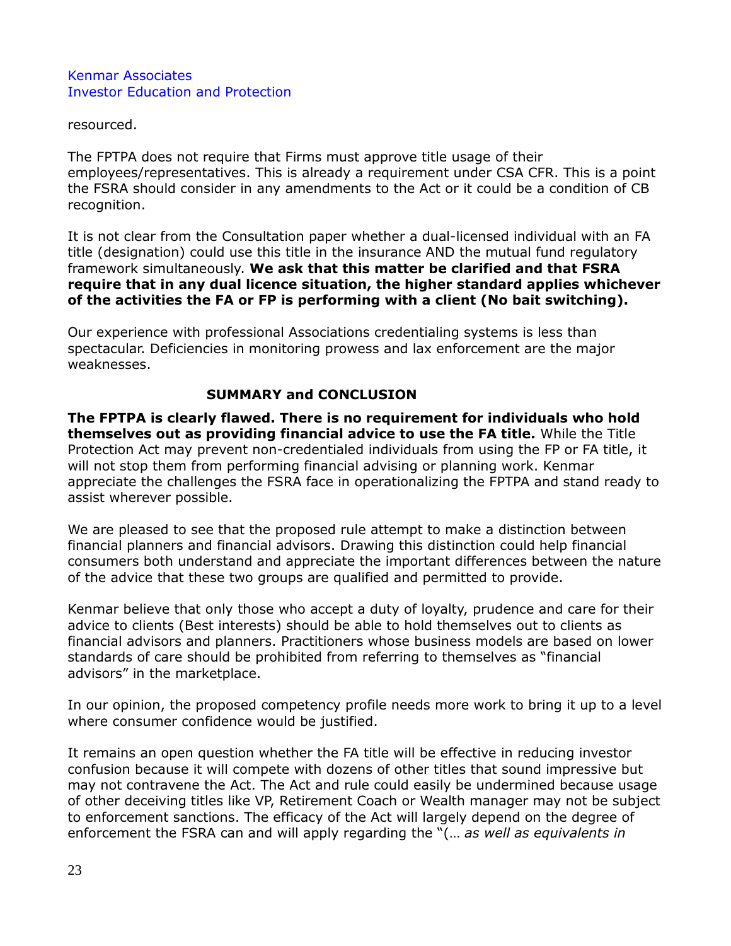resourced.

The FPTPA does not require that Firms must approve title usage of their employees/representatives. This is already a requirement under CSA CFR. This is a point the FSRA should consider in any amendments to the Act or it could be a condition of CB recognition.

It is not clear from the Consultation paper whether a dual-licensed individual with an FA title (designation) could use this title in the insurance AND the mutual fund regulatory framework simultaneously. **We ask that this matter be clarified and that FSRA require that in any dual licence situation, the higher standard applies whichever of the activities the FA or FP is performing with a client (No bait switching).**

Our experience with professional Associations credentialing systems is less than spectacular. Deficiencies in monitoring prowess and lax enforcement are the major weaknesses.

## **SUMMARY and CONCLUSION**

**The FPTPA is clearly flawed. There is no requirement for individuals who hold themselves out as providing financial advice to use the FA title.** While the Title Protection Act may prevent non-credentialed individuals from using the FP or FA title, it will not stop them from performing financial advising or planning work. Kenmar appreciate the challenges the FSRA face in operationalizing the FPTPA and stand ready to assist wherever possible.

We are pleased to see that the proposed rule attempt to make a distinction between financial planners and financial advisors. Drawing this distinction could help financial consumers both understand and appreciate the important differences between the nature of the advice that these two groups are qualified and permitted to provide.

Kenmar believe that only those who accept a duty of loyalty, prudence and care for their advice to clients (Best interests) should be able to hold themselves out to clients as financial advisors and planners. Practitioners whose business models are based on lower standards of care should be prohibited from referring to themselves as "financial advisors" in the marketplace.

In our opinion, the proposed competency profile needs more work to bring it up to a level where consumer confidence would be justified.

It remains an open question whether the FA title will be effective in reducing investor confusion because it will compete with dozens of other titles that sound impressive but may not contravene the Act. The Act and rule could easily be undermined because usage of other deceiving titles like VP, Retirement Coach or Wealth manager may not be subject to enforcement sanctions. The efficacy of the Act will largely depend on the degree of enforcement the FSRA can and will apply regarding the "(… *as well as equivalents in*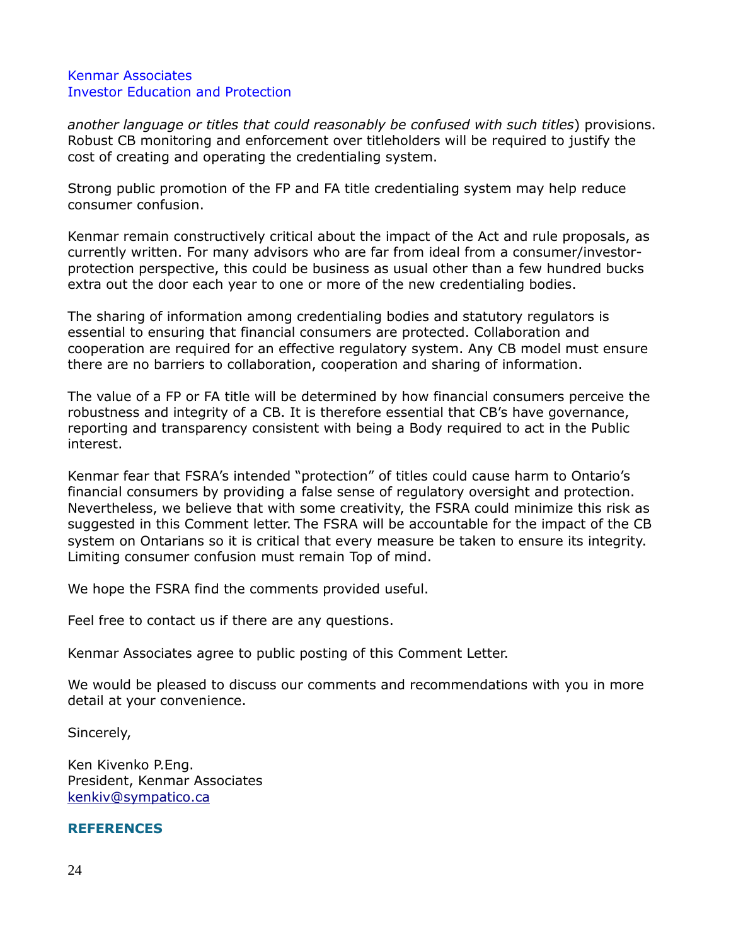*another language or titles that could reasonably be confused with such titles*) provisions. Robust CB monitoring and enforcement over titleholders will be required to justify the cost of creating and operating the credentialing system.

Strong public promotion of the FP and FA title credentialing system may help reduce consumer confusion.

Kenmar remain constructively critical about the impact of the Act and rule proposals, as currently written. For many advisors who are far from ideal from a consumer/investorprotection perspective, this could be business as usual other than a few hundred bucks extra out the door each year to one or more of the new credentialing bodies.

The sharing of information among credentialing bodies and statutory regulators is essential to ensuring that financial consumers are protected. Collaboration and cooperation are required for an effective regulatory system. Any CB model must ensure there are no barriers to collaboration, cooperation and sharing of information.

The value of a FP or FA title will be determined by how financial consumers perceive the robustness and integrity of a CB. It is therefore essential that CB's have governance, reporting and transparency consistent with being a Body required to act in the Public interest.

Kenmar fear that FSRA's intended "protection" of titles could cause harm to Ontario's financial consumers by providing a false sense of regulatory oversight and protection. Nevertheless, we believe that with some creativity, the FSRA could minimize this risk as suggested in this Comment letter. The FSRA will be accountable for the impact of the CB system on Ontarians so it is critical that every measure be taken to ensure its integrity. Limiting consumer confusion must remain Top of mind.

We hope the FSRA find the comments provided useful.

Feel free to contact us if there are any questions.

Kenmar Associates agree to public posting of this Comment Letter.

We would be pleased to discuss our comments and recommendations with you in more detail at your convenience.

Sincerely,

Ken Kivenko P.Eng. President, Kenmar Associates [kenkiv@sympatico.ca](mailto:kenkiv@sympatico.ca)

#### **REFERENCES**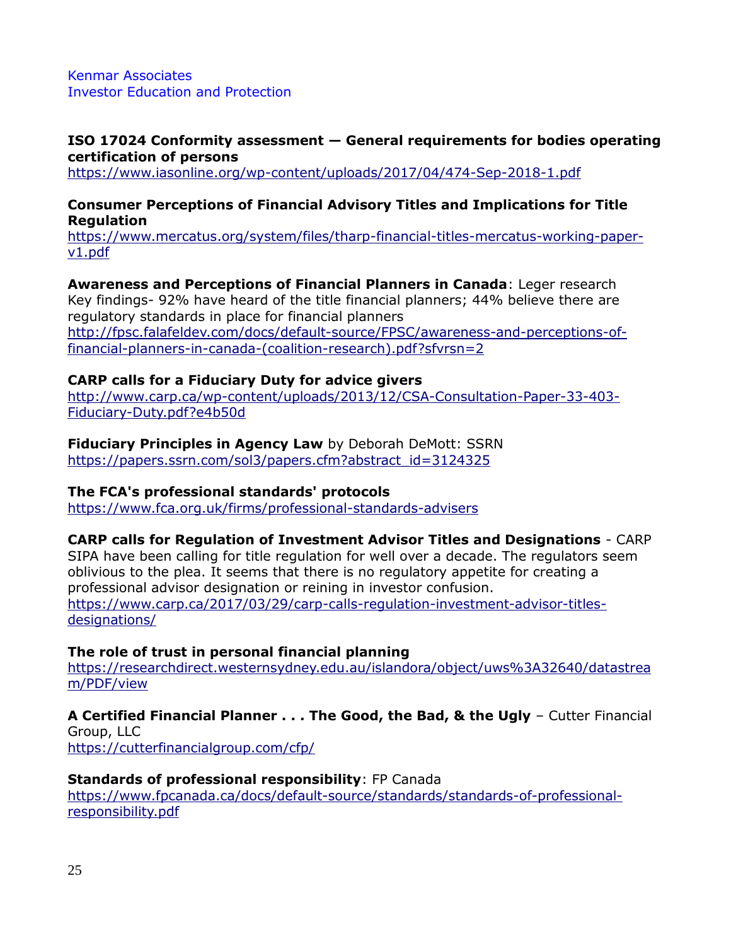#### **ISO 17024 Conformity assessment — General requirements for bodies operating certification of persons**

<https://www.iasonline.org/wp-content/uploads/2017/04/474-Sep-2018-1.pdf>

## **Consumer Perceptions of Financial Advisory Titles and Implications for Title Regulation**

[https://www.mercatus.org/system/files/tharp-financial-titles-mercatus-working-paper](https://www.mercatus.org/system/files/tharp-financial-titles-mercatus-working-paper-v1.pdf)[v1.pdf](https://www.mercatus.org/system/files/tharp-financial-titles-mercatus-working-paper-v1.pdf)

**Awareness and Perceptions of Financial Planners in Canada**: Leger research Key findings- 92% have heard of the title financial planners; 44% believe there are regulatory standards in place for financial planners [http://fpsc.falafeldev.com/docs/default-source/FPSC/awareness-and-perceptions-of](http://fpsc.falafeldev.com/docs/default-source/FPSC/awareness-and-perceptions-of-financial-planners-in-canada-(coalition-research).pdf?sfvrsn=2)[financial-planners-in-canada-\(coalition-research\).pdf?sfvrsn=2](http://fpsc.falafeldev.com/docs/default-source/FPSC/awareness-and-perceptions-of-financial-planners-in-canada-(coalition-research).pdf?sfvrsn=2)

## **CARP calls for a Fiduciary Duty for advice givers**

[http://www.carp.ca/wp-content/uploads/2013/12/CSA-Consultation-Paper-33-403-](http://www.carp.ca/wp-content/uploads/2013/12/CSA-Consultation-Paper-33-403-Fiduciary-Duty.pdf?e4b50d) [Fiduciary-Duty.pdf?e4b50d](http://www.carp.ca/wp-content/uploads/2013/12/CSA-Consultation-Paper-33-403-Fiduciary-Duty.pdf?e4b50d)

#### **Fiduciary Principles in Agency Law** by Deborah DeMott: SSRN [https://papers.ssrn.com/sol3/papers.cfm?abstract\\_id=3124325](https://papers.ssrn.com/sol3/papers.cfm?abstract_id=3124325)

#### **The FCA's professional standards' protocols**

<https://www.fca.org.uk/firms/professional-standards-advisers>

#### **CARP calls for Regulation of Investment Advisor Titles and Designations** - CARP

SIPA have been calling for title regulation for well over a decade. The regulators seem oblivious to the plea. It seems that there is no regulatory appetite for creating a professional advisor designation or reining in investor confusion. [https://www.carp.ca/2017/03/29/carp-calls-regulation-investment-advisor-titles](https://www.carp.ca/2017/03/29/carp-calls-regulation-investment-advisor-titles-designations/)[designations/](https://www.carp.ca/2017/03/29/carp-calls-regulation-investment-advisor-titles-designations/)

#### **The role of trust in personal financial planning**

[https://researchdirect.westernsydney.edu.au/islandora/object/uws%3A32640/datastrea](https://researchdirect.westernsydney.edu.au/islandora/object/uws%3A32640/datastream/PDF/view) [m/PDF/view](https://researchdirect.westernsydney.edu.au/islandora/object/uws%3A32640/datastream/PDF/view)

# **A Certified Financial Planner . . . The Good, the Bad, & the Ugly** – Cutter Financial

Group, LLC <https://cutterfinancialgroup.com/cfp/>

#### **Standards of professional responsibility**: FP Canada

[https://www.fpcanada.ca/docs/default-source/standards/standards-of-professional](https://www.fpcanada.ca/docs/default-source/standards/standards-of-professional-responsibility.pdf)[responsibility.pdf](https://www.fpcanada.ca/docs/default-source/standards/standards-of-professional-responsibility.pdf)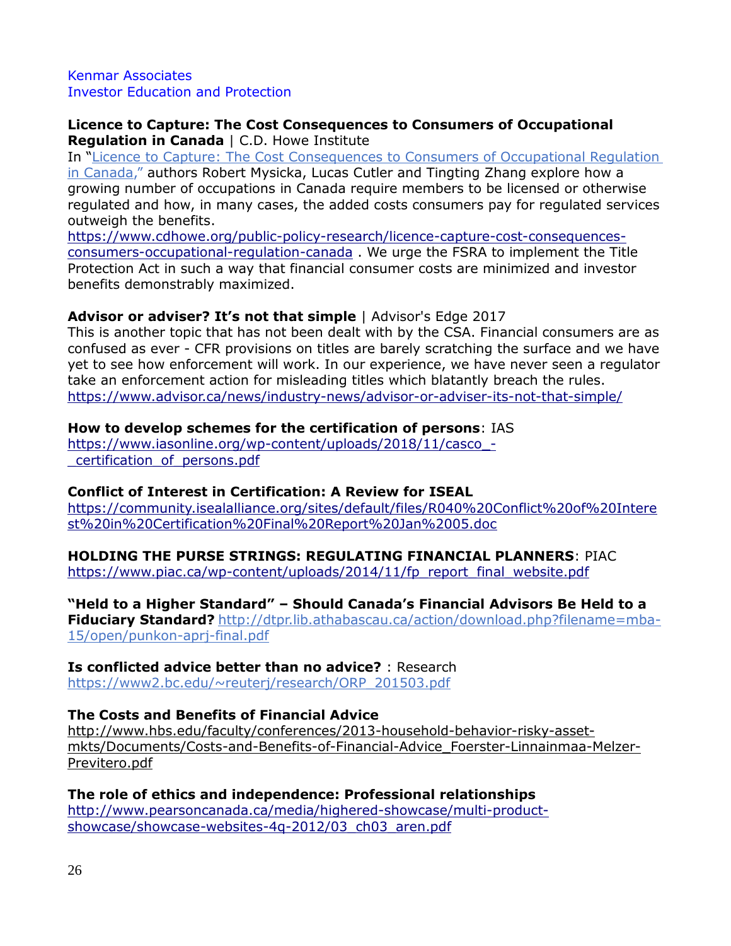#### **Licence to Capture: The Cost Consequences to Consumers of Occupational Regulation in Canada** | C.D. Howe Institute

In "[Licence to Capture: The Cost Consequences to Consumers of Occupational Regulation](https://go.pardot.com/e/230862/occupational-regulation-canada/vbrzf/344195940?h=-c3VaOo6uUlmVC0sdwfB0L9ah-ttutyen4OjTB56QNA)  [in Canada](https://go.pardot.com/e/230862/occupational-regulation-canada/vbrzf/344195940?h=-c3VaOo6uUlmVC0sdwfB0L9ah-ttutyen4OjTB56QNA)," authors Robert Mysicka, Lucas Cutler and Tingting Zhang explore how a growing number of occupations in Canada require members to be licensed or otherwise regulated and how, in many cases, the added costs consumers pay for regulated services outweigh the benefits.

[https://www.cdhowe.org/public-policy-research/licence-capture-cost-consequences](https://www.cdhowe.org/public-policy-research/licence-capture-cost-consequences-consumers-occupational-regulation-canada)[consumers-occupational-regulation-canada](https://www.cdhowe.org/public-policy-research/licence-capture-cost-consequences-consumers-occupational-regulation-canada) . We urge the FSRA to implement the Title Protection Act in such a way that financial consumer costs are minimized and investor benefits demonstrably maximized.

## **Advisor or adviser? It's not that simple** | Advisor's Edge 2017

This is another topic that has not been dealt with by the CSA. Financial consumers are as confused as ever - CFR provisions on titles are barely scratching the surface and we have yet to see how enforcement will work. In our experience, we have never seen a regulator take an enforcement action for misleading titles which blatantly breach the rules. <https://www.advisor.ca/news/industry-news/advisor-or-adviser-its-not-that-simple/>

## **How to develop schemes for the certification of persons**: IAS

https://www.iasonline.org/wp-content/uploads/2018/11/casco -[\\_certification\\_of\\_persons.pdf](https://www.iasonline.org/wp-content/uploads/2018/11/casco_-_certification_of_persons.pdf)

# **Conflict of Interest in Certification: A Review for ISEAL**

[https://community.isealalliance.org/sites/default/files/R040%20Conflict%20of%20Intere](https://community.isealalliance.org/sites/default/files/R040%20Conflict%20of%20Interest%20in%20Certification%20Final%20Report%20Jan%2005.doc) [st%20in%20Certification%20Final%20Report%20Jan%2005.doc](https://community.isealalliance.org/sites/default/files/R040%20Conflict%20of%20Interest%20in%20Certification%20Final%20Report%20Jan%2005.doc)

#### **HOLDING THE PURSE STRINGS: REGULATING FINANCIAL PLANNERS**: PIAC

[https://www.piac.ca/wp-content/uploads/2014/11/fp\\_report\\_final\\_website.pdf](https://www.piac.ca/wp-content/uploads/2014/11/fp_report_final_website.pdf)

#### **"Held to a Higher Standard" – Should Canada's Financial Advisors Be Held to a**

**Fiduciary Standard?** [http://dtpr.lib.athabascau.ca/action/download.php?filename=mba-](http://dtpr.lib.athabascau.ca/action/download.php?filename=mba-15/open/punkon-aprj-final.pdf)[15/open/punkon-aprj-final.pdf](http://dtpr.lib.athabascau.ca/action/download.php?filename=mba-15/open/punkon-aprj-final.pdf)

# **Is conflicted advice better than no advice?** : Research

[https://www2.bc.edu/~reuterj/research/ORP\\_201503.pdf](https://www2.bc.edu/~reuterj/research/ORP_201503.pdf)

# **The Costs and Benefits of Financial Advice**

[http://www.hbs.edu/faculty/conferences/2013-household-behavior-risky-asset](http://www.hbs.edu/faculty/conferences/2013-household-behavior-risky-asset-mkts/Documents/Costs-and-Benefits-of-Financial-Advice_Foerster-Linnainmaa-Melzer-Previtero.pdf)[mkts/Documents/Costs-and-Benefits-of-Financial-Advice\\_Foerster-Linnainmaa-Melzer-](http://www.hbs.edu/faculty/conferences/2013-household-behavior-risky-asset-mkts/Documents/Costs-and-Benefits-of-Financial-Advice_Foerster-Linnainmaa-Melzer-Previtero.pdf)[Previtero.pdf](http://www.hbs.edu/faculty/conferences/2013-household-behavior-risky-asset-mkts/Documents/Costs-and-Benefits-of-Financial-Advice_Foerster-Linnainmaa-Melzer-Previtero.pdf)

# **The role of ethics and independence: Professional relationships**

[http://www.pearsoncanada.ca/media/highered-showcase/multi-product](http://www.pearsoncanada.ca/media/highered-showcase/multi-product-showcase/showcase-websites-4q-2012/03_ch03_aren.pdf)[showcase/showcase-websites-4q-2012/03\\_ch03\\_aren.pdf](http://www.pearsoncanada.ca/media/highered-showcase/multi-product-showcase/showcase-websites-4q-2012/03_ch03_aren.pdf)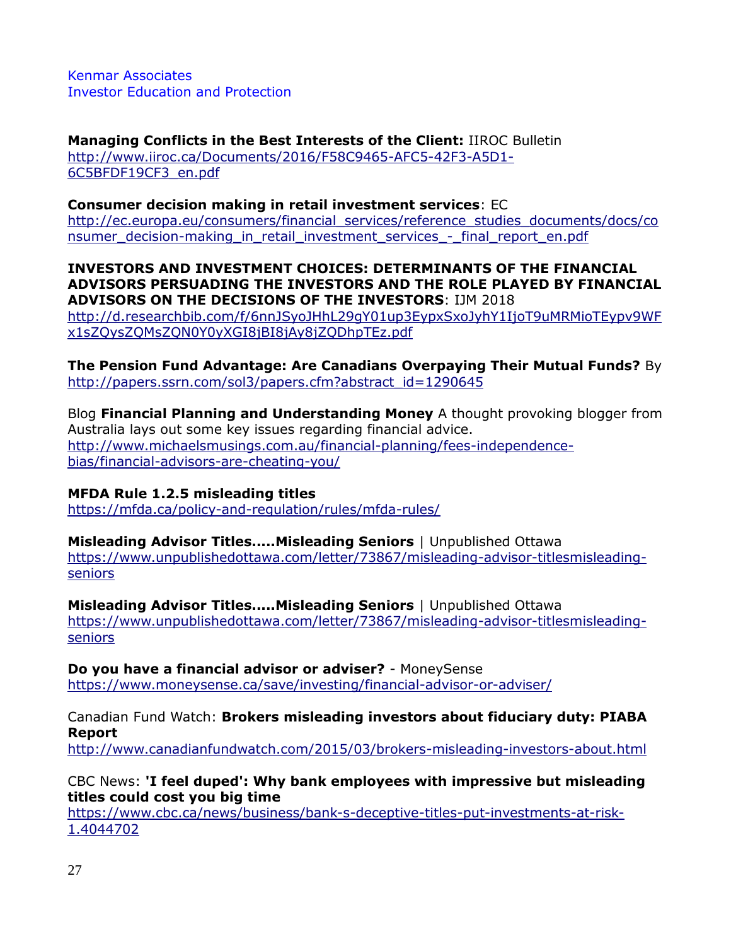**Managing Conflicts in the Best Interests of the Client:** IIROC Bulletin [http://www.iiroc.ca/Documents/2016/F58C9465-AFC5-42F3-A5D1-](http://www.iiroc.ca/Documents/2016/F58C9465-AFC5-42F3-A5D1-6C5BFDF19CF3_en.pdf) [6C5BFDF19CF3\\_en.pdf](http://www.iiroc.ca/Documents/2016/F58C9465-AFC5-42F3-A5D1-6C5BFDF19CF3_en.pdf)

## **Consumer decision making in retail investment services**: EC

[http://ec.europa.eu/consumers/financial\\_services/reference\\_studies\\_documents/docs/co](http://ec.europa.eu/consumers/financial_services/reference_studies_documents/docs/consumer_decision-making_in_retail_investment_services_-_final_report_en.pdf) nsumer decision-making in retail investment services - final report en.pdf

**INVESTORS AND INVESTMENT CHOICES: DETERMINANTS OF THE FINANCIAL ADVISORS PERSUADING THE INVESTORS AND THE ROLE PLAYED BY FINANCIAL ADVISORS ON THE DECISIONS OF THE INVESTORS**: IJM 2018

[http://d.researchbib.com/f/6nnJSyoJHhL29gY01up3EypxSxoJyhY1IjoT9uMRMioTEypv9WF](http://d.researchbib.com/f/6nnJSyoJHhL29gY01up3EypxSxoJyhY1IjoT9uMRMioTEypv9WFx1sZQysZQMsZQN0Y0yXGI8jBI8jAy8jZQDhpTEz.pdf) [x1sZQysZQMsZQN0Y0yXGI8jBI8jAy8jZQDhpTEz.pdf](http://d.researchbib.com/f/6nnJSyoJHhL29gY01up3EypxSxoJyhY1IjoT9uMRMioTEypv9WFx1sZQysZQMsZQN0Y0yXGI8jBI8jAy8jZQDhpTEz.pdf)

**The Pension Fund Advantage: Are Canadians Overpaying Their Mutual Funds?** By [http://papers.ssrn.com/sol3/papers.cfm?abstract\\_id=1290645](http://papers.ssrn.com/sol3/papers.cfm?abstract_id=1290645)

Blog **Financial Planning and Understanding Money** A thought provoking blogger from Australia lays out some key issues regarding financial advice. [http://www.michaelsmusings.com.au/financial-planning/fees-independence](http://www.michaelsmusings.com.au/financial-planning/fees-independence-bias/financial-advisors-are-cheating-you/)[bias/financial-advisors-are-cheating-you/](http://www.michaelsmusings.com.au/financial-planning/fees-independence-bias/financial-advisors-are-cheating-you/)

# **MFDA Rule 1.2.5 misleading titles**

<https://mfda.ca/policy-and-regulation/rules/mfda-rules/>

#### **Misleading Advisor Titles.....Misleading Seniors** | Unpublished Ottawa

[https://www.unpublishedottawa.com/letter/73867/misleading-advisor-titlesmisleading](https://www.unpublishedottawa.com/letter/73867/misleading-advisor-titlesmisleading-seniors)[seniors](https://www.unpublishedottawa.com/letter/73867/misleading-advisor-titlesmisleading-seniors)

**Misleading Advisor Titles.....Misleading Seniors** | Unpublished Ottawa [https://www.unpublishedottawa.com/letter/73867/misleading-advisor-titlesmisleading](https://www.unpublishedottawa.com/letter/73867/misleading-advisor-titlesmisleading-seniors)[seniors](https://www.unpublishedottawa.com/letter/73867/misleading-advisor-titlesmisleading-seniors)

**Do you have a financial advisor or adviser?** - MoneySense <https://www.moneysense.ca/save/investing/financial-advisor-or-adviser/>

Canadian Fund Watch: **Brokers misleading investors about fiduciary duty: PIABA Report**

<http://www.canadianfundwatch.com/2015/03/brokers-misleading-investors-about.html>

# CBC News: **'I feel duped': Why bank employees with impressive but misleading titles could cost you big time**

[https://www.cbc.ca/news/business/bank-s-deceptive-titles-put-investments-at-risk-](https://www.cbc.ca/news/business/bank-s-deceptive-titles-put-investments-at-risk-1.4044702)[1.4044702](https://www.cbc.ca/news/business/bank-s-deceptive-titles-put-investments-at-risk-1.4044702)